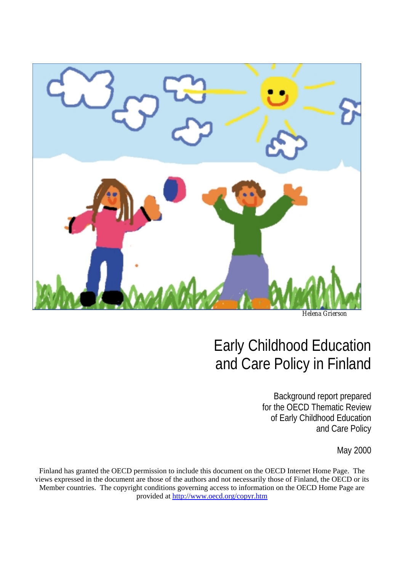

*Helena Grierson*

# Early Childhood Education and Care Policy in Finland

Background report prepared for the OECD Thematic Review of Early Childhood Education and Care Policy

May 2000

Finland has granted the OECD permission to include this document on the OECD Internet Home Page. The views expressed in the document are those of the authors and not necessarily those of Finland, the OECD or its Member countries. The copyright conditions governing access to information on the OECD Home Page are provided at http://www.oecd.org/copyr.htm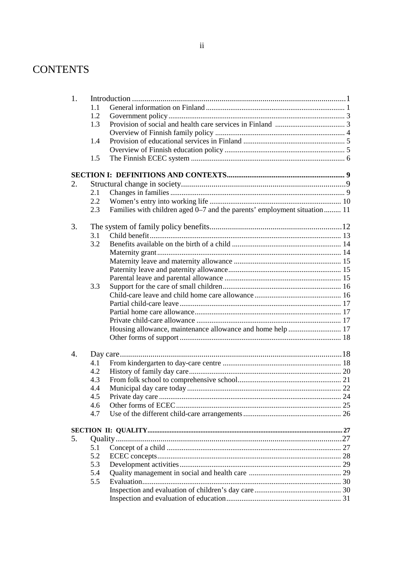## **CONTENTS**

| 1. |     |                                                                          |  |  |
|----|-----|--------------------------------------------------------------------------|--|--|
|    | 1.1 |                                                                          |  |  |
|    | 1.2 |                                                                          |  |  |
|    | 1.3 |                                                                          |  |  |
|    |     |                                                                          |  |  |
|    | 1.4 |                                                                          |  |  |
|    |     |                                                                          |  |  |
|    | 1.5 |                                                                          |  |  |
|    |     |                                                                          |  |  |
| 2. |     |                                                                          |  |  |
|    | 2.1 |                                                                          |  |  |
|    | 2.2 |                                                                          |  |  |
|    | 2.3 | Families with children aged 0–7 and the parents' employment situation 11 |  |  |
| 3. |     |                                                                          |  |  |
|    | 3.1 |                                                                          |  |  |
|    | 3.2 |                                                                          |  |  |
|    |     |                                                                          |  |  |
|    |     |                                                                          |  |  |
|    |     |                                                                          |  |  |
|    |     |                                                                          |  |  |
|    | 3.3 |                                                                          |  |  |
|    |     |                                                                          |  |  |
|    |     |                                                                          |  |  |
|    |     |                                                                          |  |  |
|    |     |                                                                          |  |  |
|    |     | Housing allowance, maintenance allowance and home help  17               |  |  |
|    |     |                                                                          |  |  |
| 4. |     |                                                                          |  |  |
|    | 4.1 |                                                                          |  |  |
|    | 4.2 |                                                                          |  |  |
|    | 4.3 |                                                                          |  |  |
|    | 4.4 |                                                                          |  |  |
|    | 4.5 |                                                                          |  |  |
|    | 4.6 |                                                                          |  |  |
|    | 4.7 |                                                                          |  |  |
|    |     |                                                                          |  |  |
| 5. |     |                                                                          |  |  |
|    | 5.1 |                                                                          |  |  |
|    | 5.2 |                                                                          |  |  |
|    | 5.3 |                                                                          |  |  |
|    | 5.4 |                                                                          |  |  |
|    | 5.5 |                                                                          |  |  |
|    |     |                                                                          |  |  |
|    |     |                                                                          |  |  |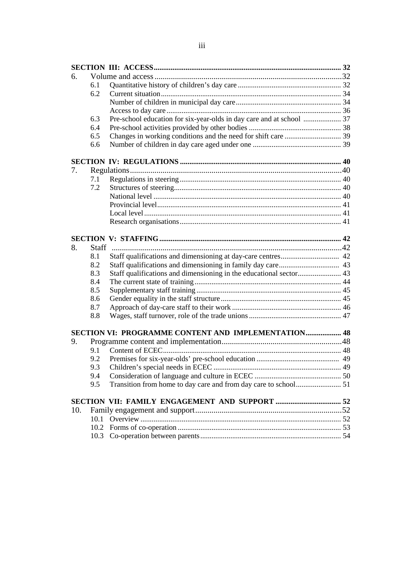| 6.  |      |                                                                      |  |
|-----|------|----------------------------------------------------------------------|--|
|     | 6.1  |                                                                      |  |
|     | 6.2  |                                                                      |  |
|     |      |                                                                      |  |
|     |      |                                                                      |  |
|     | 6.3  | Pre-school education for six-year-olds in day care and at school  37 |  |
|     | 6.4  |                                                                      |  |
|     | 6.5  |                                                                      |  |
|     | 6.6  |                                                                      |  |
|     |      |                                                                      |  |
| 7.  |      |                                                                      |  |
|     | 7.1  |                                                                      |  |
|     | 7.2  |                                                                      |  |
|     |      |                                                                      |  |
|     |      |                                                                      |  |
|     |      |                                                                      |  |
|     |      |                                                                      |  |
|     |      |                                                                      |  |
|     |      |                                                                      |  |
| 8.  |      |                                                                      |  |
|     | 8.1  |                                                                      |  |
|     | 8.2  |                                                                      |  |
|     | 8.3  |                                                                      |  |
|     | 8.4  |                                                                      |  |
|     | 8.5  |                                                                      |  |
|     | 8.6  |                                                                      |  |
|     | 8.7  |                                                                      |  |
|     | 8.8  |                                                                      |  |
|     |      | SECTION VI: PROGRAMME CONTENT AND IMPLEMENTATION 48                  |  |
| 9.  |      |                                                                      |  |
|     | 9.1  |                                                                      |  |
|     | 9.2  |                                                                      |  |
|     | 9.3  |                                                                      |  |
|     | 9.4  |                                                                      |  |
|     | 9.5  |                                                                      |  |
|     |      |                                                                      |  |
|     |      |                                                                      |  |
| 10. |      |                                                                      |  |
|     | 10.1 |                                                                      |  |
|     | 10.2 |                                                                      |  |
|     | 10.3 |                                                                      |  |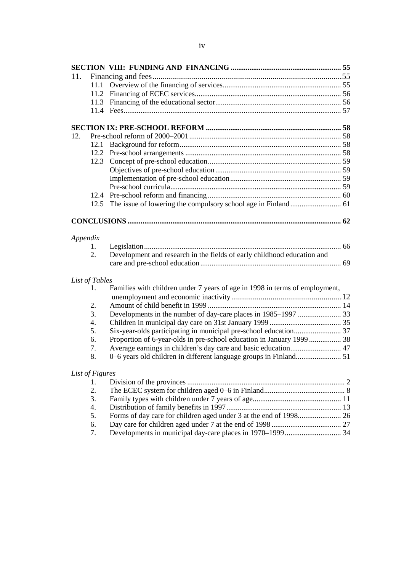| 11.      |                 |                                                                             |  |
|----------|-----------------|-----------------------------------------------------------------------------|--|
|          | 11.1            |                                                                             |  |
|          |                 |                                                                             |  |
|          |                 |                                                                             |  |
|          |                 |                                                                             |  |
|          |                 |                                                                             |  |
| 12.      |                 |                                                                             |  |
|          | 12.1            |                                                                             |  |
|          | 12.2            |                                                                             |  |
|          | 12.3            |                                                                             |  |
|          |                 |                                                                             |  |
|          |                 |                                                                             |  |
|          |                 |                                                                             |  |
|          |                 |                                                                             |  |
|          | 12.5            |                                                                             |  |
|          |                 |                                                                             |  |
|          |                 |                                                                             |  |
| Appendix |                 |                                                                             |  |
|          | 1.              |                                                                             |  |
|          | 2.              | Development and research in the fields of early childhood education and     |  |
|          |                 |                                                                             |  |
|          | List of Tables  |                                                                             |  |
|          | 1.              | Families with children under 7 years of age in 1998 in terms of employment, |  |
|          |                 |                                                                             |  |
|          | 2.              |                                                                             |  |
|          | 3.              | Developments in the number of day-care places in 1985-1997  33              |  |
|          | 4.              |                                                                             |  |
|          | 5.              |                                                                             |  |
|          | 6.              | Proportion of 6-year-olds in pre-school education in January 1999  38       |  |
|          | 7.<br>8.        | Average earnings in children's day care and basic education 47              |  |
|          |                 |                                                                             |  |
|          | List of Figures |                                                                             |  |
|          | 1.              |                                                                             |  |
|          | 2.              |                                                                             |  |
|          | 3.              |                                                                             |  |
|          | 4.              |                                                                             |  |
|          | 5.              |                                                                             |  |
|          | 6.              |                                                                             |  |

7. Developments in municipal day-care places in 1970–1999.............................. 34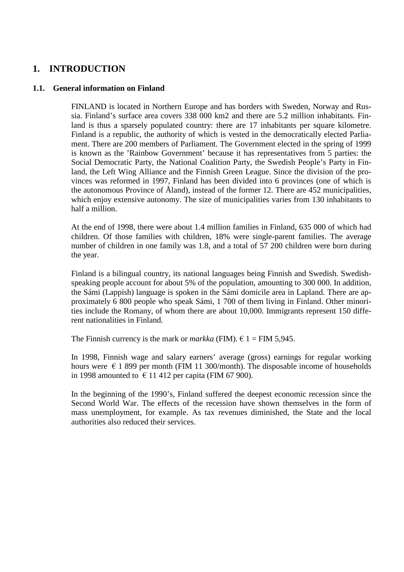### **1. INTRODUCTION**

#### **1.1. General information on Finland**

FINLAND is located in Northern Europe and has borders with Sweden, Norway and Russia. Finland's surface area covers 338 000 km2 and there are 5.2 million inhabitants. Finland is thus a sparsely populated country: there are 17 inhabitants per square kilometre. Finland is a republic, the authority of which is vested in the democratically elected Parliament. There are 200 members of Parliament. The Government elected in the spring of 1999 is known as the 'Rainbow Government' because it has representatives from 5 parties: the Social Democratic Party, the National Coalition Party, the Swedish People's Party in Finland, the Left Wing Alliance and the Finnish Green League. Since the division of the provinces was reformed in 1997, Finland has been divided into 6 provinces (one of which is the autonomous Province of Åland), instead of the former 12. There are 452 municipalities, which enjoy extensive autonomy. The size of municipalities varies from 130 inhabitants to half a million.

At the end of 1998, there were about 1.4 million families in Finland, 635 000 of which had children. Of those families with children, 18% were single-parent families. The average number of children in one family was 1.8, and a total of 57 200 children were born during the year.

Finland is a bilingual country, its national languages being Finnish and Swedish. Swedishspeaking people account for about 5% of the population, amounting to 300 000. In addition, the Sámi (Lappish) language is spoken in the Sámi domicile area in Lapland. There are approximately 6 800 people who speak Sámi, 1 700 of them living in Finland. Other minorities include the Romany, of whom there are about 10,000. Immigrants represent 150 different nationalities in Finland.

The Finnish currency is the mark or *markka* (FIM).  $\epsilon$  1 = FIM 5,945.

In 1998, Finnish wage and salary earners' average (gross) earnings for regular working hours were  $\epsilon$  1 899 per month (FIM 11 300/month). The disposable income of households in 1998 amounted to  $\epsilon$  11 412 per capita (FIM 67 900).

In the beginning of the 1990's, Finland suffered the deepest economic recession since the Second World War. The effects of the recession have shown themselves in the form of mass unemployment, for example. As tax revenues diminished, the State and the local authorities also reduced their services.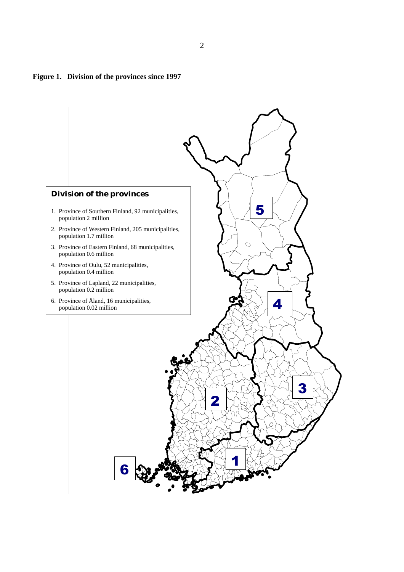#### **Figure 1. Division of the provinces since 1997**

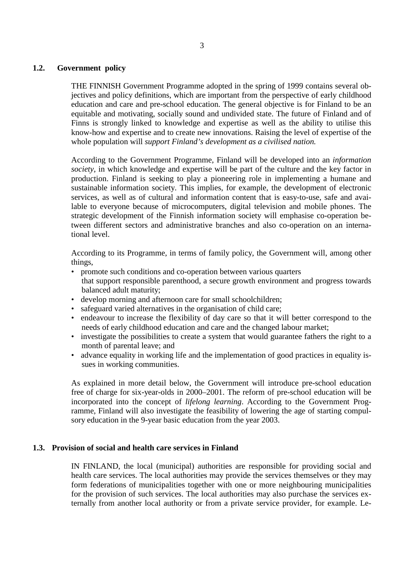#### **1.2. Government policy**

THE FINNISH Government Programme adopted in the spring of 1999 contains several objectives and policy definitions, which are important from the perspective of early childhood education and care and pre-school education. The general objective is for Finland to be an equitable and motivating, socially sound and undivided state. The future of Finland and of Finns is strongly linked to knowledge and expertise as well as the ability to utilise this know-how and expertise and to create new innovations. Raising the level of expertise of the whole population will *support Finland's development as a civilised nation.*

According to the Government Programme, Finland will be developed into an *information society*, in which knowledge and expertise will be part of the culture and the key factor in production. Finland is seeking to play a pioneering role in implementing a humane and sustainable information society. This implies, for example, the development of electronic services, as well as of cultural and information content that is easy-to-use, safe and available to everyone because of microcomputers, digital television and mobile phones. The strategic development of the Finnish information society will emphasise co-operation between different sectors and administrative branches and also co-operation on an international level.

According to its Programme, in terms of family policy, the Government will, among other things,

- promote such conditions and co-operation between various quarters that support responsible parenthood, a secure growth environment and progress towards balanced adult maturity;
- develop morning and afternoon care for small schoolchildren;
- safeguard varied alternatives in the organisation of child care:
- endeavour to increase the flexibility of day care so that it will better correspond to the needs of early childhood education and care and the changed labour market;
- investigate the possibilities to create a system that would guarantee fathers the right to a month of parental leave; and
- advance equality in working life and the implementation of good practices in equality issues in working communities.

As explained in more detail below, the Government will introduce pre-school education free of charge for six-year-olds in 2000–2001. The reform of pre-school education will be incorporated into the concept of *lifelong learning*. According to the Government Programme, Finland will also investigate the feasibility of lowering the age of starting compulsory education in the 9-year basic education from the year 2003.

#### **1.3. Provision of social and health care services in Finland**

IN FINLAND, the local (municipal) authorities are responsible for providing social and health care services. The local authorities may provide the services themselves or they may form federations of municipalities together with one or more neighbouring municipalities for the provision of such services. The local authorities may also purchase the services externally from another local authority or from a private service provider, for example. Le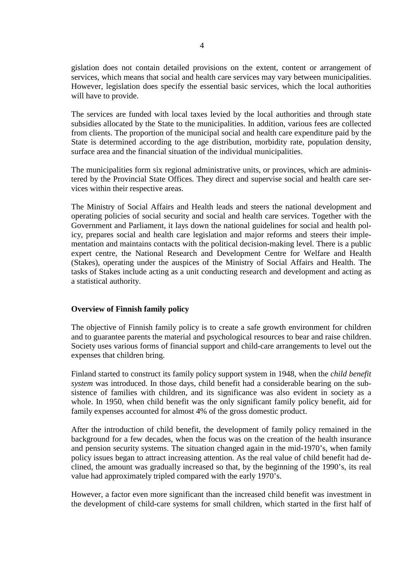gislation does not contain detailed provisions on the extent, content or arrangement of services, which means that social and health care services may vary between municipalities. However, legislation does specify the essential basic services, which the local authorities will have to provide.

The services are funded with local taxes levied by the local authorities and through state subsidies allocated by the State to the municipalities. In addition, various fees are collected from clients. The proportion of the municipal social and health care expenditure paid by the State is determined according to the age distribution, morbidity rate, population density, surface area and the financial situation of the individual municipalities.

The municipalities form six regional administrative units, or provinces, which are administered by the Provincial State Offices. They direct and supervise social and health care services within their respective areas.

The Ministry of Social Affairs and Health leads and steers the national development and operating policies of social security and social and health care services. Together with the Government and Parliament, it lays down the national guidelines for social and health policy, prepares social and health care legislation and major reforms and steers their implementation and maintains contacts with the political decision-making level. There is a public expert centre, the National Research and Development Centre for Welfare and Health (Stakes), operating under the auspices of the Ministry of Social Affairs and Health. The tasks of Stakes include acting as a unit conducting research and development and acting as a statistical authority.

#### **Overview of Finnish family policy**

The objective of Finnish family policy is to create a safe growth environment for children and to guarantee parents the material and psychological resources to bear and raise children. Society uses various forms of financial support and child-care arrangements to level out the expenses that children bring.

Finland started to construct its family policy support system in 1948, when the *child benefit system* was introduced. In those days, child benefit had a considerable bearing on the subsistence of families with children, and its significance was also evident in society as a whole. In 1950, when child benefit was the only significant family policy benefit, aid for family expenses accounted for almost 4% of the gross domestic product.

After the introduction of child benefit, the development of family policy remained in the background for a few decades, when the focus was on the creation of the health insurance and pension security systems. The situation changed again in the mid-1970's, when family policy issues began to attract increasing attention. As the real value of child benefit had declined, the amount was gradually increased so that, by the beginning of the 1990's, its real value had approximately tripled compared with the early 1970's.

However, a factor even more significant than the increased child benefit was investment in the development of child-care systems for small children, which started in the first half of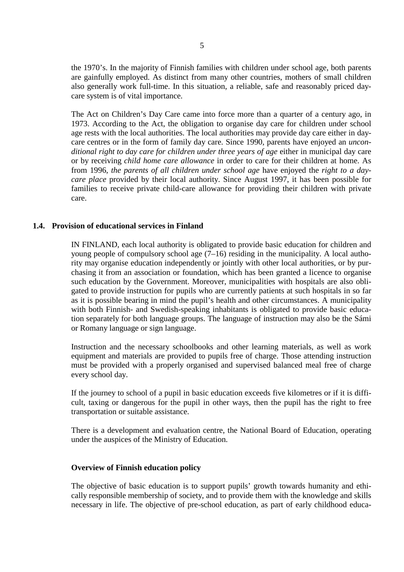the 1970's. In the majority of Finnish families with children under school age, both parents are gainfully employed. As distinct from many other countries, mothers of small children also generally work full-time. In this situation, a reliable, safe and reasonably priced daycare system is of vital importance.

The Act on Children's Day Care came into force more than a quarter of a century ago, in 1973. According to the Act, the obligation to organise day care for children under school age rests with the local authorities. The local authorities may provide day care either in daycare centres or in the form of family day care. Since 1990, parents have enjoyed an *unconditional right to day care for children under three years of age* either in municipal day care or by receiving *child home care allowance* in order to care for their children at home. As from 1996, *the parents of all children under school age* have enjoyed the *right to a daycare place* provided by their local authority. Since August 1997, it has been possible for families to receive private child-care allowance for providing their children with private care.

#### **1.4. Provision of educational services in Finland**

IN FINLAND, each local authority is obligated to provide basic education for children and young people of compulsory school age (7–16) residing in the municipality. A local authority may organise education independently or jointly with other local authorities, or by purchasing it from an association or foundation, which has been granted a licence to organise such education by the Government. Moreover, municipalities with hospitals are also obligated to provide instruction for pupils who are currently patients at such hospitals in so far as it is possible bearing in mind the pupil's health and other circumstances. A municipality with both Finnish- and Swedish-speaking inhabitants is obligated to provide basic education separately for both language groups. The language of instruction may also be the Sámi or Romany language or sign language.

Instruction and the necessary schoolbooks and other learning materials, as well as work equipment and materials are provided to pupils free of charge. Those attending instruction must be provided with a properly organised and supervised balanced meal free of charge every school day.

If the journey to school of a pupil in basic education exceeds five kilometres or if it is difficult, taxing or dangerous for the pupil in other ways, then the pupil has the right to free transportation or suitable assistance.

There is a development and evaluation centre, the National Board of Education, operating under the auspices of the Ministry of Education.

#### **Overview of Finnish education policy**

The objective of basic education is to support pupils' growth towards humanity and ethically responsible membership of society, and to provide them with the knowledge and skills necessary in life. The objective of pre-school education, as part of early childhood educa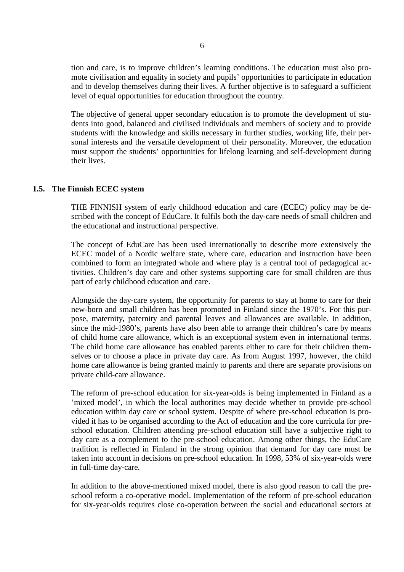tion and care, is to improve children's learning conditions. The education must also promote civilisation and equality in society and pupils' opportunities to participate in education and to develop themselves during their lives. A further objective is to safeguard a sufficient level of equal opportunities for education throughout the country.

The objective of general upper secondary education is to promote the development of students into good, balanced and civilised individuals and members of society and to provide students with the knowledge and skills necessary in further studies, working life, their personal interests and the versatile development of their personality. Moreover, the education must support the students' opportunities for lifelong learning and self-development during their lives.

#### **1.5. The Finnish ECEC system**

THE FINNISH system of early childhood education and care (ECEC) policy may be described with the concept of EduCare. It fulfils both the day-care needs of small children and the educational and instructional perspective.

The concept of EduCare has been used internationally to describe more extensively the ECEC model of a Nordic welfare state, where care, education and instruction have been combined to form an integrated whole and where play is a central tool of pedagogical activities. Children's day care and other systems supporting care for small children are thus part of early childhood education and care.

Alongside the day-care system, the opportunity for parents to stay at home to care for their new-born and small children has been promoted in Finland since the 1970's. For this purpose, maternity, paternity and parental leaves and allowances are available. In addition, since the mid-1980's, parents have also been able to arrange their children's care by means of child home care allowance, which is an exceptional system even in international terms. The child home care allowance has enabled parents either to care for their children themselves or to choose a place in private day care. As from August 1997, however, the child home care allowance is being granted mainly to parents and there are separate provisions on private child-care allowance.

The reform of pre-school education for six-year-olds is being implemented in Finland as a 'mixed model', in which the local authorities may decide whether to provide pre-school education within day care or school system. Despite of where pre-school education is provided it has to be organised according to the Act of education and the core curricula for preschool education. Children attending pre-school education still have a subjective right to day care as a complement to the pre-school education. Among other things, the EduCare tradition is reflected in Finland in the strong opinion that demand for day care must be taken into account in decisions on pre-school education. In 1998, 53% of six-year-olds were in full-time day-care.

In addition to the above-mentioned mixed model, there is also good reason to call the preschool reform a co-operative model. Implementation of the reform of pre-school education for six-year-olds requires close co-operation between the social and educational sectors at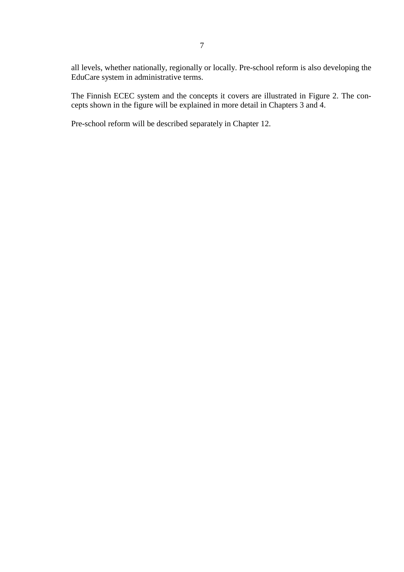all levels, whether nationally, regionally or locally. Pre-school reform is also developing the EduCare system in administrative terms.

The Finnish ECEC system and the concepts it covers are illustrated in Figure 2. The concepts shown in the figure will be explained in more detail in Chapters 3 and 4.

Pre-school reform will be described separately in Chapter 12.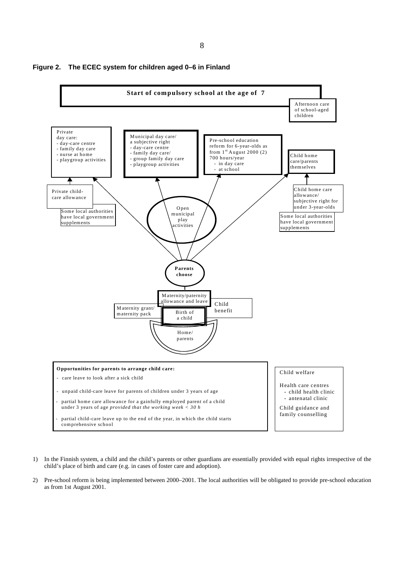

**Figure 2. The ECEC system for children aged 0–6 in Finland**

- 1) In the Finnish system, a child and the child's parents or other guardians are essentially provided with equal rights irrespective of the child's place of birth and care (e.g. in cases of foster care and adoption).
- 2) Pre-school reform is being implemented between 2000–2001. The local authorities will be obligated to provide pre-school education as from 1st August 2001.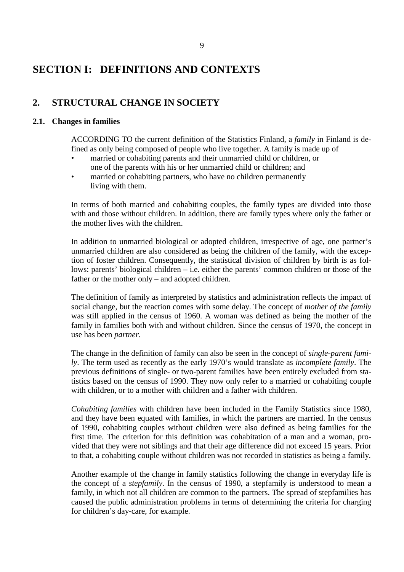## **SECTION I: DEFINITIONS AND CONTEXTS**

## **2. STRUCTURAL CHANGE IN SOCIETY**

#### **2.1. Changes in families**

ACCORDING TO the current definition of the Statistics Finland, a *family* in Finland is defined as only being composed of people who live together. A family is made up of

- married or cohabiting parents and their unmarried child or children, or one of the parents with his or her unmarried child or children; and
- married or cohabiting partners, who have no children permanently living with them.

In terms of both married and cohabiting couples, the family types are divided into those with and those without children. In addition, there are family types where only the father or the mother lives with the children.

In addition to unmarried biological or adopted children, irrespective of age, one partner's unmarried children are also considered as being the children of the family, with the exception of foster children. Consequently, the statistical division of children by birth is as follows: parents' biological children – i.e. either the parents' common children or those of the father or the mother only – and adopted children.

The definition of family as interpreted by statistics and administration reflects the impact of social change, but the reaction comes with some delay. The concept of *mother of the family* was still applied in the census of 1960. A woman was defined as being the mother of the family in families both with and without children. Since the census of 1970, the concept in use has been *partner*.

The change in the definition of family can also be seen in the concept of *single-parent family*. The term used as recently as the early 1970's would translate as *incomplete family*. The previous definitions of single- or two-parent families have been entirely excluded from statistics based on the census of 1990. They now only refer to a married or cohabiting couple with children, or to a mother with children and a father with children.

*Cohabiting families* with children have been included in the Family Statistics since 1980, and they have been equated with families, in which the partners are married. In the census of 1990, cohabiting couples without children were also defined as being families for the first time. The criterion for this definition was cohabitation of a man and a woman, provided that they were not siblings and that their age difference did not exceed 15 years. Prior to that, a cohabiting couple without children was not recorded in statistics as being a family.

Another example of the change in family statistics following the change in everyday life is the concept of a *stepfamily*. In the census of 1990, a stepfamily is understood to mean a family, in which not all children are common to the partners. The spread of stepfamilies has caused the public administration problems in terms of determining the criteria for charging for children's day-care, for example.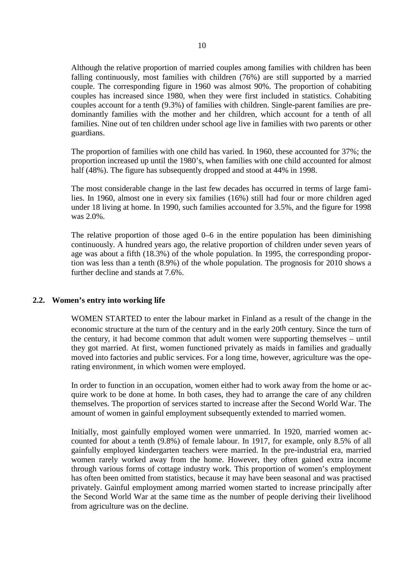Although the relative proportion of married couples among families with children has been falling continuously, most families with children (76%) are still supported by a married couple. The corresponding figure in 1960 was almost 90%. The proportion of cohabiting couples has increased since 1980, when they were first included in statistics. Cohabiting couples account for a tenth (9.3%) of families with children. Single-parent families are predominantly families with the mother and her children, which account for a tenth of all families. Nine out of ten children under school age live in families with two parents or other guardians.

The proportion of families with one child has varied. In 1960, these accounted for 37%; the proportion increased up until the 1980's, when families with one child accounted for almost half (48%). The figure has subsequently dropped and stood at 44% in 1998.

The most considerable change in the last few decades has occurred in terms of large families. In 1960, almost one in every six families (16%) still had four or more children aged under 18 living at home. In 1990, such families accounted for 3.5%, and the figure for 1998 was 2.0%.

The relative proportion of those aged 0–6 in the entire population has been diminishing continuously. A hundred years ago, the relative proportion of children under seven years of age was about a fifth (18.3%) of the whole population. In 1995, the corresponding proportion was less than a tenth (8.9%) of the whole population. The prognosis for 2010 shows a further decline and stands at 7.6%.

#### **2.2. Women's entry into working life**

WOMEN STARTED to enter the labour market in Finland as a result of the change in the economic structure at the turn of the century and in the early 20th century. Since the turn of the century, it had become common that adult women were supporting themselves – until they got married. At first, women functioned privately as maids in families and gradually moved into factories and public services. For a long time, however, agriculture was the operating environment, in which women were employed.

In order to function in an occupation, women either had to work away from the home or acquire work to be done at home. In both cases, they had to arrange the care of any children themselves. The proportion of services started to increase after the Second World War. The amount of women in gainful employment subsequently extended to married women.

Initially, most gainfully employed women were unmarried. In 1920, married women accounted for about a tenth (9.8%) of female labour. In 1917, for example, only 8.5% of all gainfully employed kindergarten teachers were married. In the pre-industrial era, married women rarely worked away from the home. However, they often gained extra income through various forms of cottage industry work. This proportion of women's employment has often been omitted from statistics, because it may have been seasonal and was practised privately. Gainful employment among married women started to increase principally after the Second World War at the same time as the number of people deriving their livelihood from agriculture was on the decline.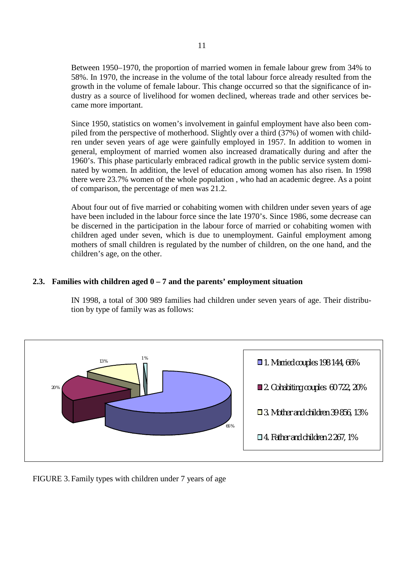Between 1950–1970, the proportion of married women in female labour grew from 34% to 58%. In 1970, the increase in the volume of the total labour force already resulted from the growth in the volume of female labour. This change occurred so that the significance of industry as a source of livelihood for women declined, whereas trade and other services became more important.

Since 1950, statistics on women's involvement in gainful employment have also been compiled from the perspective of motherhood. Slightly over a third (37%) of women with children under seven years of age were gainfully employed in 1957. In addition to women in general, employment of married women also increased dramatically during and after the 1960's. This phase particularly embraced radical growth in the public service system dominated by women. In addition, the level of education among women has also risen. In 1998 there were 23.7% women of the whole population , who had an academic degree. As a point of comparison, the percentage of men was 21.2.

About four out of five married or cohabiting women with children under seven years of age have been included in the labour force since the late 1970's. Since 1986, some decrease can be discerned in the participation in the labour force of married or cohabiting women with children aged under seven, which is due to unemployment. Gainful employment among mothers of small children is regulated by the number of children, on the one hand, and the children's age, on the other.

#### **2.3. Families with children aged 0 – 7 and the parents' employment situation**

IN 1998, a total of 300 989 families had children under seven years of age. Their distribution by type of family was as follows:



FIGURE 3. Family types with children under 7 years of age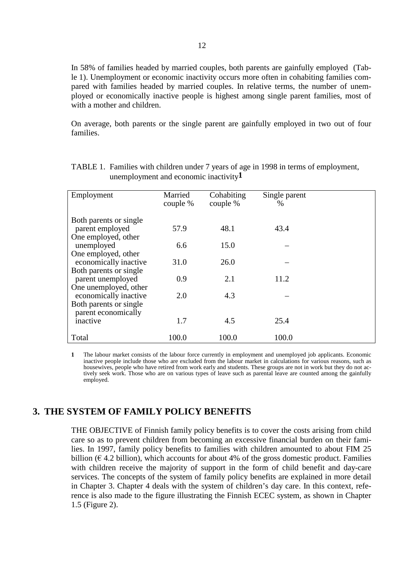In 58% of families headed by married couples, both parents are gainfully employed (Table 1). Unemployment or economic inactivity occurs more often in cohabiting families compared with families headed by married couples. In relative terms, the number of unemployed or economically inactive people is highest among single parent families, most of with a mother and children.

On average, both parents or the single parent are gainfully employed in two out of four families.

| Employment                                                | Married<br>couple % | Cohabiting<br>couple % | Single parent<br>$\%$ |  |
|-----------------------------------------------------------|---------------------|------------------------|-----------------------|--|
| Both parents or single<br>parent employed                 | 57.9                | 48.1                   | 43.4                  |  |
| One employed, other<br>unemployed                         | 6.6                 | 15.0                   |                       |  |
| One employed, other<br>economically inactive              | 31.0                | 26.0                   |                       |  |
| Both parents or single<br>parent unemployed               | 0.9                 | 2.1                    | 11.2                  |  |
| One unemployed, other<br>economically inactive            | 2.0                 | 4.3                    |                       |  |
| Both parents or single<br>parent economically<br>inactive | 1.7                 | 4.5                    | 25.4                  |  |
| Total                                                     | 100.0               | 100.0                  | 100.0                 |  |

TABLE 1. Families with children under 7 years of age in 1998 in terms of employment, unemployment and economic inactivity**1**

**1** The labour market consists of the labour force currently in employment and unemployed job applicants. Economic inactive people include those who are excluded from the labour market in calculations for various reasons, such as housewives, people who have retired from work early and students. These groups are not in work but they do not actively seek work. Those who are on various types of leave such as parental leave are counted among the gainfully employed.

#### **3. THE SYSTEM OF FAMILY POLICY BENEFITS**

THE OBJECTIVE of Finnish family policy benefits is to cover the costs arising from child care so as to prevent children from becoming an excessive financial burden on their families. In 1997, family policy benefits to families with children amounted to about FIM 25 billion ( $\epsilon$  4.2 billion), which accounts for about 4% of the gross domestic product. Families with children receive the majority of support in the form of child benefit and day-care services. The concepts of the system of family policy benefits are explained in more detail in Chapter 3. Chapter 4 deals with the system of children's day care. In this context, reference is also made to the figure illustrating the Finnish ECEC system, as shown in Chapter 1.5 (Figure 2).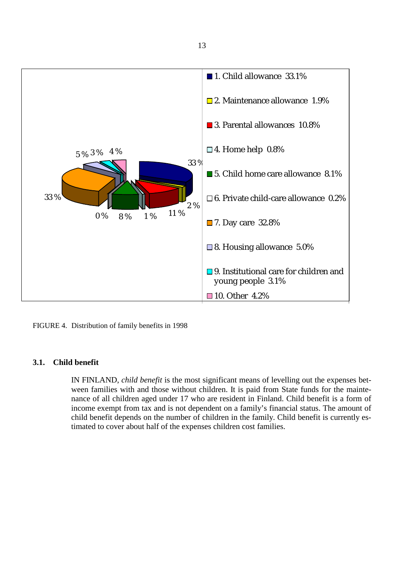



#### **3.1. Child benefit**

IN FINLAND, *child benefit* is the most significant means of levelling out the expenses between families with and those without children. It is paid from State funds for the maintenance of all children aged under 17 who are resident in Finland. Child benefit is a form of income exempt from tax and is not dependent on a family's financial status. The amount of child benefit depends on the number of children in the family. Child benefit is currently estimated to cover about half of the expenses children cost families.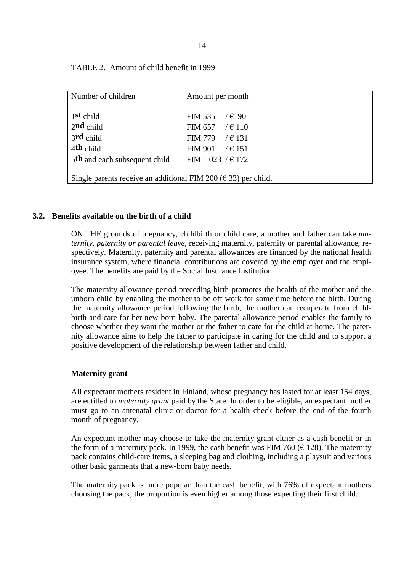| Number of children                                                  | Amount per month       |  |  |
|---------------------------------------------------------------------|------------------------|--|--|
|                                                                     |                        |  |  |
|                                                                     |                        |  |  |
| 1st child                                                           | FIM 535 $\ell \in 90$  |  |  |
|                                                                     |                        |  |  |
| 2nd child                                                           | FIM 657 / $\in$ 110    |  |  |
| 3rd child                                                           | FIM 779 $\ell \in 131$ |  |  |
|                                                                     |                        |  |  |
| $4th$ child                                                         | FIM 901 $\ell \in 151$ |  |  |
|                                                                     |                        |  |  |
| 5th and each subsequent child                                       | FIM 1 023 / $\in$ 172  |  |  |
|                                                                     |                        |  |  |
|                                                                     |                        |  |  |
| Single parents receive an additional FIM 200 ( $\in$ 33) per child. |                        |  |  |
|                                                                     |                        |  |  |

TABLE 2. Amount of child benefit in 1999

#### **3.2. Benefits available on the birth of a child**

ON THE grounds of pregnancy, childbirth or child care, a mother and father can take *maternity, paternity or parental leave*, receiving maternity, paternity or parental allowance, respectively. Maternity, paternity and parental allowances are financed by the national health insurance system, where financial contributions are covered by the employer and the employee. The benefits are paid by the Social Insurance Institution.

The maternity allowance period preceding birth promotes the health of the mother and the unborn child by enabling the mother to be off work for some time before the birth. During the maternity allowance period following the birth, the mother can recuperate from childbirth and care for her new-born baby. The parental allowance period enables the family to choose whether they want the mother or the father to care for the child at home. The paternity allowance aims to help the father to participate in caring for the child and to support a positive development of the relationship between father and child.

#### **Maternity grant**

All expectant mothers resident in Finland, whose pregnancy has lasted for at least 154 days, are entitled to *maternity grant* paid by the State. In order to be eligible, an expectant mother must go to an antenatal clinic or doctor for a health check before the end of the fourth month of pregnancy.

An expectant mother may choose to take the maternity grant either as a cash benefit or in the form of a maternity pack. In 1999, the cash benefit was FIM 760 ( $\in$  128). The maternity pack contains child-care items, a sleeping bag and clothing, including a playsuit and various other basic garments that a new-born baby needs.

The maternity pack is more popular than the cash benefit, with 76% of expectant mothers choosing the pack; the proportion is even higher among those expecting their first child.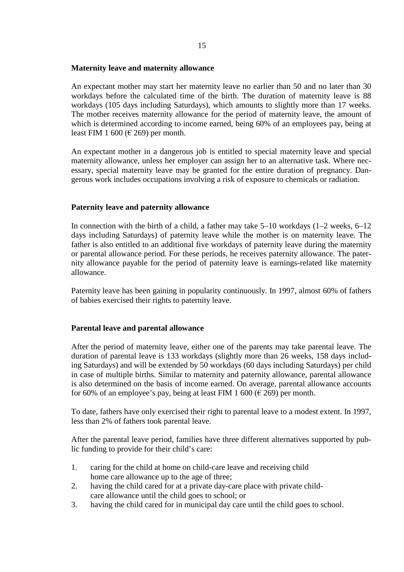#### **Maternity leave and maternity allowance**

An expectant mother may start her maternity leave no earlier than 50 and no later than 30 workdays before the calculated time of the birth. The duration of maternity leave is 88 workdays (105 days including Saturdays), which amounts to slightly more than 17 weeks. The mother receives maternity allowance for the period of maternity leave, the amount of which is determined according to income earned, being 60% of an employees pay, being at least FIM 1 600 ( $\in$  269) per month.

An expectant mother in a dangerous job is entitled to special maternity leave and special maternity allowance, unless her employer can assign her to an alternative task. Where necessary, special maternity leave may be granted for the entire duration of pregnancy. Dangerous work includes occupations involving a risk of exposure to chemicals or radiation.

#### **Paternity leave and paternity allowance**

In connection with the birth of a child, a father may take  $5-10$  workdays  $(1-2$  weeks,  $6-12$ days including Saturdays) of paternity leave while the mother is on maternity leave. The father is also entitled to an additional five workdays of paternity leave during the maternity or parental allowance period. For these periods, he receives paternity allowance. The paternity allowance payable for the period of paternity leave is earnings-related like maternity allowance.

Paternity leave has been gaining in popularity continuously. In 1997, almost 60% of fathers of babies exercised their rights to paternity leave.

#### **Parental leave and parental allowance**

After the period of maternity leave, either one of the parents may take parental leave. The duration of parental leave is 133 workdays (slightly more than 26 weeks, 158 days including Saturdays) and will be extended by 50 workdays (60 days including Saturdays) per child in case of multiple births. Similar to maternity and paternity allowance, parental allowance is also determined on the basis of income earned. On average, parental allowance accounts for 60% of an employee's pay, being at least FIM 1 600 ( $\in$  269) per month.

To date, fathers have only exercised their right to parental leave to a modest extent. In 1997, less than 2% of fathers took parental leave.

After the parental leave period, families have three different alternatives supported by public funding to provide for their child's care:

- 1. caring for the child at home on child-care leave and receiving child home care allowance up to the age of three;
- 2. having the child cared for at a private day-care place with private childcare allowance until the child goes to school; or
- 3. having the child cared for in municipal day care until the child goes to school.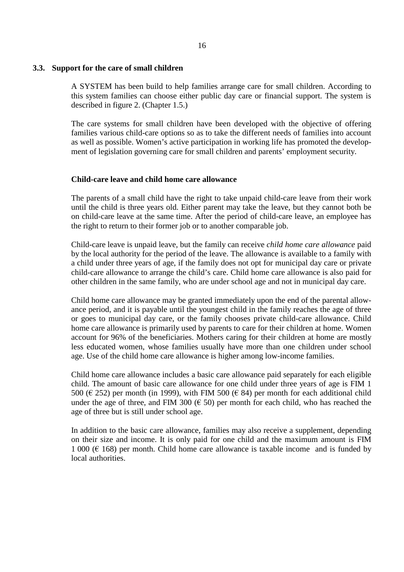#### **3.3. Support for the care of small children**

A SYSTEM has been build to help families arrange care for small children. According to this system families can choose either public day care or financial support. The system is described in figure 2. (Chapter 1.5.)

The care systems for small children have been developed with the objective of offering families various child-care options so as to take the different needs of families into account as well as possible. Women's active participation in working life has promoted the development of legislation governing care for small children and parents' employment security.

#### **Child-care leave and child home care allowance**

The parents of a small child have the right to take unpaid child-care leave from their work until the child is three years old. Either parent may take the leave, but they cannot both be on child-care leave at the same time. After the period of child-care leave, an employee has the right to return to their former job or to another comparable job.

Child-care leave is unpaid leave, but the family can receive *child home care allowance* paid by the local authority for the period of the leave. The allowance is available to a family with a child under three years of age, if the family does not opt for municipal day care or private child-care allowance to arrange the child's care. Child home care allowance is also paid for other children in the same family, who are under school age and not in municipal day care.

Child home care allowance may be granted immediately upon the end of the parental allowance period, and it is payable until the youngest child in the family reaches the age of three or goes to municipal day care, or the family chooses private child-care allowance. Child home care allowance is primarily used by parents to care for their children at home. Women account for 96% of the beneficiaries. Mothers caring for their children at home are mostly less educated women, whose families usually have more than one children under school age. Use of the child home care allowance is higher among low-income families.

Child home care allowance includes a basic care allowance paid separately for each eligible child. The amount of basic care allowance for one child under three years of age is FIM 1 500 ( $\in$  252) per month (in 1999), with FIM 500 ( $\in$  84) per month for each additional child under the age of three, and FIM 300 ( $\epsilon$  50) per month for each child, who has reached the age of three but is still under school age.

In addition to the basic care allowance, families may also receive a supplement, depending on their size and income. It is only paid for one child and the maximum amount is FIM 1 000 ( $\in$  168) per month. Child home care allowance is taxable income and is funded by local authorities.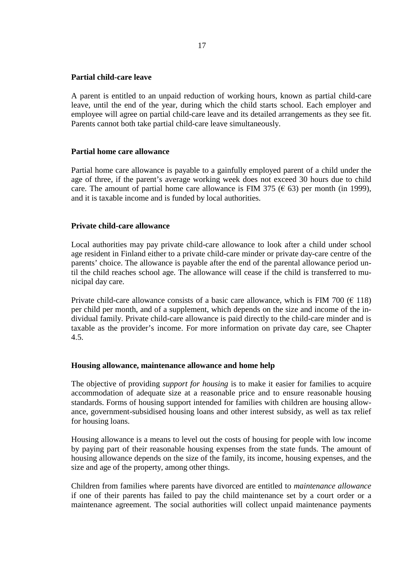#### **Partial child-care leave**

A parent is entitled to an unpaid reduction of working hours, known as partial child-care leave, until the end of the year, during which the child starts school. Each employer and employee will agree on partial child-care leave and its detailed arrangements as they see fit. Parents cannot both take partial child-care leave simultaneously.

#### **Partial home care allowance**

Partial home care allowance is payable to a gainfully employed parent of a child under the age of three, if the parent's average working week does not exceed 30 hours due to child care. The amount of partial home care allowance is FIM 375 ( $\epsilon$  63) per month (in 1999), and it is taxable income and is funded by local authorities.

#### **Private child-care allowance**

Local authorities may pay private child-care allowance to look after a child under school age resident in Finland either to a private child-care minder or private day-care centre of the parents' choice. The allowance is payable after the end of the parental allowance period until the child reaches school age. The allowance will cease if the child is transferred to municipal day care.

Private child-care allowance consists of a basic care allowance, which is FIM 700 ( $\in$  118) per child per month, and of a supplement, which depends on the size and income of the individual family. Private child-care allowance is paid directly to the child-care minder and is taxable as the provider's income. For more information on private day care, see Chapter 4.5.

#### **Housing allowance, maintenance allowance and home help**

The objective of providing *support for housing* is to make it easier for families to acquire accommodation of adequate size at a reasonable price and to ensure reasonable housing standards. Forms of housing support intended for families with children are housing allowance, government-subsidised housing loans and other interest subsidy, as well as tax relief for housing loans.

Housing allowance is a means to level out the costs of housing for people with low income by paying part of their reasonable housing expenses from the state funds. The amount of housing allowance depends on the size of the family, its income, housing expenses, and the size and age of the property, among other things.

Children from families where parents have divorced are entitled to *maintenance allowance* if one of their parents has failed to pay the child maintenance set by a court order or a maintenance agreement. The social authorities will collect unpaid maintenance payments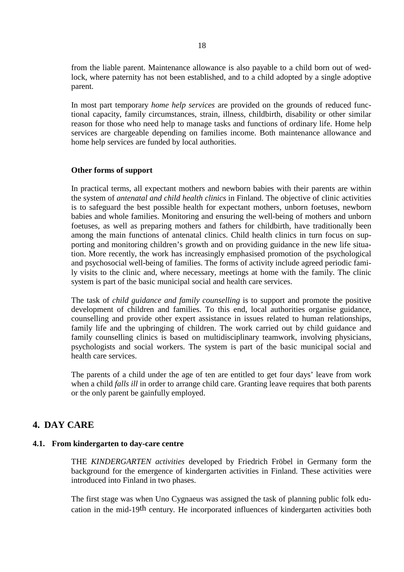from the liable parent. Maintenance allowance is also payable to a child born out of wedlock, where paternity has not been established, and to a child adopted by a single adoptive parent.

In most part temporary *home help services* are provided on the grounds of reduced functional capacity, family circumstances, strain, illness, childbirth, disability or other similar reason for those who need help to manage tasks and functions of ordinary life. Home help services are chargeable depending on families income. Both maintenance allowance and home help services are funded by local authorities.

#### **Other forms of support**

In practical terms, all expectant mothers and newborn babies with their parents are within the system of *antenatal and child health clinics* in Finland. The objective of clinic activities is to safeguard the best possible health for expectant mothers, unborn foetuses, newborn babies and whole families. Monitoring and ensuring the well-being of mothers and unborn foetuses, as well as preparing mothers and fathers for childbirth, have traditionally been among the main functions of antenatal clinics. Child health clinics in turn focus on supporting and monitoring children's growth and on providing guidance in the new life situation. More recently, the work has increasingly emphasised promotion of the psychological and psychosocial well-being of families. The forms of activity include agreed periodic family visits to the clinic and, where necessary, meetings at home with the family. The clinic system is part of the basic municipal social and health care services.

The task of *child guidance and family counselling* is to support and promote the positive development of children and families. To this end, local authorities organise guidance, counselling and provide other expert assistance in issues related to human relationships, family life and the upbringing of children. The work carried out by child guidance and family counselling clinics is based on multidisciplinary teamwork, involving physicians, psychologists and social workers. The system is part of the basic municipal social and health care services.

The parents of a child under the age of ten are entitled to get four days' leave from work when a child *falls ill* in order to arrange child care. Granting leave requires that both parents or the only parent be gainfully employed.

#### **4. DAY CARE**

#### **4.1. From kindergarten to day-care centre**

THE *KINDERGARTEN activities* developed by Friedrich Fröbel in Germany form the background for the emergence of kindergarten activities in Finland. These activities were introduced into Finland in two phases.

The first stage was when Uno Cygnaeus was assigned the task of planning public folk education in the mid-19th century. He incorporated influences of kindergarten activities both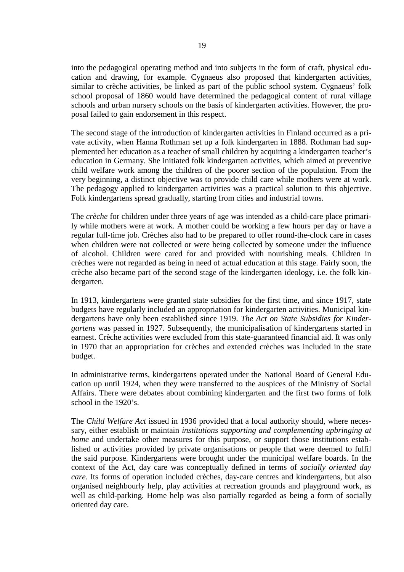into the pedagogical operating method and into subjects in the form of craft, physical education and drawing, for example. Cygnaeus also proposed that kindergarten activities, similar to crèche activities, be linked as part of the public school system. Cygnaeus' folk school proposal of 1860 would have determined the pedagogical content of rural village schools and urban nursery schools on the basis of kindergarten activities. However, the proposal failed to gain endorsement in this respect.

The second stage of the introduction of kindergarten activities in Finland occurred as a private activity, when Hanna Rothman set up a folk kindergarten in 1888. Rothman had supplemented her education as a teacher of small children by acquiring a kindergarten teacher's education in Germany. She initiated folk kindergarten activities, which aimed at preventive child welfare work among the children of the poorer section of the population. From the very beginning, a distinct objective was to provide child care while mothers were at work. The pedagogy applied to kindergarten activities was a practical solution to this objective. Folk kindergartens spread gradually, starting from cities and industrial towns.

The *crèche* for children under three years of age was intended as a child-care place primarily while mothers were at work. A mother could be working a few hours per day or have a regular full-time job. Crèches also had to be prepared to offer round-the-clock care in cases when children were not collected or were being collected by someone under the influence of alcohol. Children were cared for and provided with nourishing meals. Children in crèches were not regarded as being in need of actual education at this stage. Fairly soon, the crèche also became part of the second stage of the kindergarten ideology, i.e. the folk kindergarten.

In 1913, kindergartens were granted state subsidies for the first time, and since 1917, state budgets have regularly included an appropriation for kindergarten activities. Municipal kindergartens have only been established since 1919. *The Act on State Subsidies for Kindergartens* was passed in 1927. Subsequently, the municipalisation of kindergartens started in earnest. Crèche activities were excluded from this state-guaranteed financial aid. It was only in 1970 that an appropriation for crèches and extended crèches was included in the state budget.

In administrative terms, kindergartens operated under the National Board of General Education up until 1924, when they were transferred to the auspices of the Ministry of Social Affairs. There were debates about combining kindergarten and the first two forms of folk school in the 1920's.

The *Child Welfare Act* issued in 1936 provided that a local authority should, where necessary, either establish or maintain *institutions supporting and complementing upbringing at home* and undertake other measures for this purpose, or support those institutions established or activities provided by private organisations or people that were deemed to fulfil the said purpose. Kindergartens were brought under the municipal welfare boards. In the context of the Act, day care was conceptually defined in terms of *socially oriented day care*. Its forms of operation included crèches, day-care centres and kindergartens, but also organised neighbourly help, play activities at recreation grounds and playground work, as well as child-parking. Home help was also partially regarded as being a form of socially oriented day care.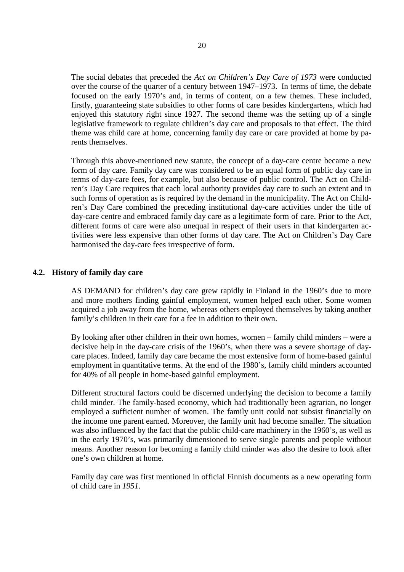The social debates that preceded the *Act on Children's Day Care of 1973* were conducted over the course of the quarter of a century between 1947–1973. In terms of time, the debate focused on the early 1970's and, in terms of content, on a few themes. These included, firstly, guaranteeing state subsidies to other forms of care besides kindergartens, which had enjoyed this statutory right since 1927. The second theme was the setting up of a single legislative framework to regulate children's day care and proposals to that effect. The third theme was child care at home, concerning family day care or care provided at home by parents themselves.

Through this above-mentioned new statute, the concept of a day-care centre became a new form of day care. Family day care was considered to be an equal form of public day care in terms of day-care fees, for example, but also because of public control. The Act on Children's Day Care requires that each local authority provides day care to such an extent and in such forms of operation as is required by the demand in the municipality. The Act on Children's Day Care combined the preceding institutional day-care activities under the title of day-care centre and embraced family day care as a legitimate form of care. Prior to the Act, different forms of care were also unequal in respect of their users in that kindergarten activities were less expensive than other forms of day care. The Act on Children's Day Care harmonised the day-care fees irrespective of form.

#### **4.2. History of family day care**

AS DEMAND for children's day care grew rapidly in Finland in the 1960's due to more and more mothers finding gainful employment, women helped each other. Some women acquired a job away from the home, whereas others employed themselves by taking another family's children in their care for a fee in addition to their own.

By looking after other children in their own homes, women – family child minders – were a decisive help in the day-care crisis of the 1960's, when there was a severe shortage of daycare places. Indeed, family day care became the most extensive form of home-based gainful employment in quantitative terms. At the end of the 1980's, family child minders accounted for 40% of all people in home-based gainful employment.

Different structural factors could be discerned underlying the decision to become a family child minder. The family-based economy, which had traditionally been agrarian, no longer employed a sufficient number of women. The family unit could not subsist financially on the income one parent earned. Moreover, the family unit had become smaller. The situation was also influenced by the fact that the public child-care machinery in the 1960's, as well as in the early 1970's, was primarily dimensioned to serve single parents and people without means. Another reason for becoming a family child minder was also the desire to look after one's own children at home.

Family day care was first mentioned in official Finnish documents as a new operating form of child care in *1951*.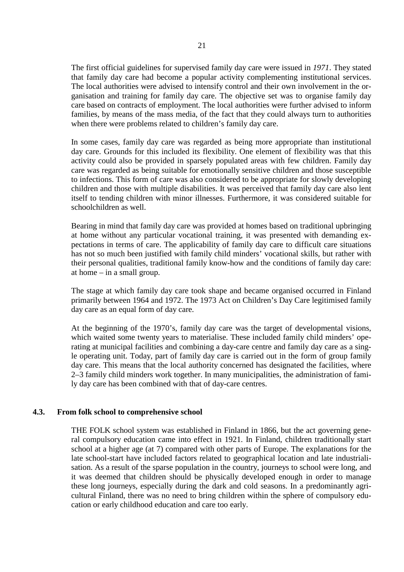The first official guidelines for supervised family day care were issued in *1971*. They stated that family day care had become a popular activity complementing institutional services. The local authorities were advised to intensify control and their own involvement in the organisation and training for family day care. The objective set was to organise family day care based on contracts of employment. The local authorities were further advised to inform families, by means of the mass media, of the fact that they could always turn to authorities when there were problems related to children's family day care.

In some cases, family day care was regarded as being more appropriate than institutional day care. Grounds for this included its flexibility. One element of flexibility was that this activity could also be provided in sparsely populated areas with few children. Family day care was regarded as being suitable for emotionally sensitive children and those susceptible to infections. This form of care was also considered to be appropriate for slowly developing children and those with multiple disabilities. It was perceived that family day care also lent itself to tending children with minor illnesses. Furthermore, it was considered suitable for schoolchildren as well.

Bearing in mind that family day care was provided at homes based on traditional upbringing at home without any particular vocational training, it was presented with demanding expectations in terms of care. The applicability of family day care to difficult care situations has not so much been justified with family child minders' vocational skills, but rather with their personal qualities, traditional family know-how and the conditions of family day care: at home – in a small group.

The stage at which family day care took shape and became organised occurred in Finland primarily between 1964 and 1972. The 1973 Act on Children's Day Care legitimised family day care as an equal form of day care.

At the beginning of the 1970's, family day care was the target of developmental visions, which waited some twenty years to materialise. These included family child minders' operating at municipal facilities and combining a day-care centre and family day care as a single operating unit. Today, part of family day care is carried out in the form of group family day care. This means that the local authority concerned has designated the facilities, where 2–3 family child minders work together. In many municipalities, the administration of family day care has been combined with that of day-care centres.

#### **4.3. From folk school to comprehensive school**

THE FOLK school system was established in Finland in 1866, but the act governing general compulsory education came into effect in 1921. In Finland, children traditionally start school at a higher age (at 7) compared with other parts of Europe. The explanations for the late school-start have included factors related to geographical location and late industrialisation. As a result of the sparse population in the country, journeys to school were long, and it was deemed that children should be physically developed enough in order to manage these long journeys, especially during the dark and cold seasons. In a predominantly agricultural Finland, there was no need to bring children within the sphere of compulsory education or early childhood education and care too early.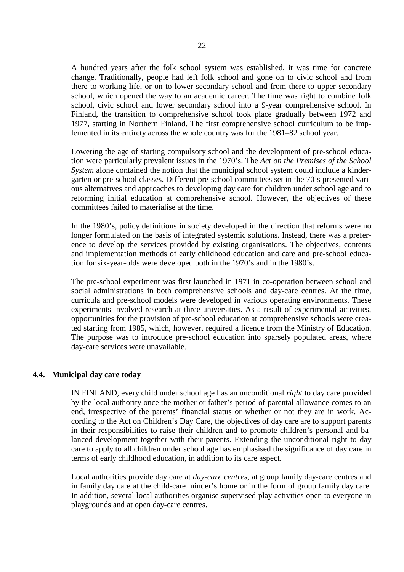A hundred years after the folk school system was established, it was time for concrete change. Traditionally, people had left folk school and gone on to civic school and from there to working life, or on to lower secondary school and from there to upper secondary school, which opened the way to an academic career. The time was right to combine folk school, civic school and lower secondary school into a 9-year comprehensive school. In Finland, the transition to comprehensive school took place gradually between 1972 and 1977, starting in Northern Finland. The first comprehensive school curriculum to be implemented in its entirety across the whole country was for the 1981–82 school year.

Lowering the age of starting compulsory school and the development of pre-school education were particularly prevalent issues in the 1970's. The *Act on the Premises of the School System* alone contained the notion that the municipal school system could include a kindergarten or pre-school classes. Different pre-school committees set in the 70's presented various alternatives and approaches to developing day care for children under school age and to reforming initial education at comprehensive school. However, the objectives of these committees failed to materialise at the time.

In the 1980's, policy definitions in society developed in the direction that reforms were no longer formulated on the basis of integrated systemic solutions. Instead, there was a preference to develop the services provided by existing organisations. The objectives, contents and implementation methods of early childhood education and care and pre-school education for six-year-olds were developed both in the 1970's and in the 1980's.

The pre-school experiment was first launched in 1971 in co-operation between school and social administrations in both comprehensive schools and day-care centres. At the time, curricula and pre-school models were developed in various operating environments. These experiments involved research at three universities. As a result of experimental activities, opportunities for the provision of pre-school education at comprehensive schools were created starting from 1985, which, however, required a licence from the Ministry of Education. The purpose was to introduce pre-school education into sparsely populated areas, where day-care services were unavailable.

#### **4.4. Municipal day care today**

IN FINLAND, every child under school age has an unconditional *right* to day care provided by the local authority once the mother or father's period of parental allowance comes to an end, irrespective of the parents' financial status or whether or not they are in work. According to the Act on Children's Day Care, the objectives of day care are to support parents in their responsibilities to raise their children and to promote children's personal and balanced development together with their parents. Extending the unconditional right to day care to apply to all children under school age has emphasised the significance of day care in terms of early childhood education, in addition to its care aspect.

Local authorities provide day care at *day-care centres*, at group family day-care centres and in family day care at the child-care minder's home or in the form of group family day care. In addition, several local authorities organise supervised play activities open to everyone in playgrounds and at open day-care centres.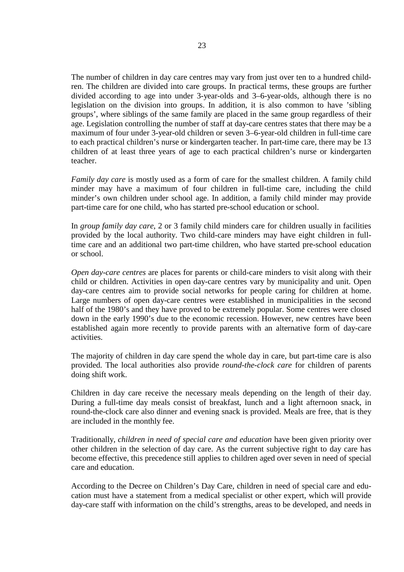The number of children in day care centres may vary from just over ten to a hundred children. The children are divided into care groups. In practical terms, these groups are further divided according to age into under 3-year-olds and 3–6-year-olds, although there is no legislation on the division into groups. In addition, it is also common to have 'sibling groups', where siblings of the same family are placed in the same group regardless of their age. Legislation controlling the number of staff at day-care centres states that there may be a maximum of four under 3-year-old children or seven 3–6-year-old children in full-time care to each practical children's nurse or kindergarten teacher. In part-time care, there may be 13 children of at least three years of age to each practical children's nurse or kindergarten teacher.

*Family day care* is mostly used as a form of care for the smallest children. A family child minder may have a maximum of four children in full-time care, including the child minder's own children under school age. In addition, a family child minder may provide part-time care for one child, who has started pre-school education or school.

In *group family day care*, 2 or 3 family child minders care for children usually in facilities provided by the local authority. Two child-care minders may have eight children in fulltime care and an additional two part-time children, who have started pre-school education or school.

*Open day-care centres* are places for parents or child-care minders to visit along with their child or children. Activities in open day-care centres vary by municipality and unit. Open day-care centres aim to provide social networks for people caring for children at home. Large numbers of open day-care centres were established in municipalities in the second half of the 1980's and they have proved to be extremely popular. Some centres were closed down in the early 1990's due to the economic recession. However, new centres have been established again more recently to provide parents with an alternative form of day-care activities.

The majority of children in day care spend the whole day in care, but part-time care is also provided. The local authorities also provide *round-the-clock care* for children of parents doing shift work.

Children in day care receive the necessary meals depending on the length of their day. During a full-time day meals consist of breakfast, lunch and a light afternoon snack, in round-the-clock care also dinner and evening snack is provided. Meals are free, that is they are included in the monthly fee.

Traditionally, *children in need of special care and education* have been given priority over other children in the selection of day care. As the current subjective right to day care has become effective, this precedence still applies to children aged over seven in need of special care and education.

According to the Decree on Children's Day Care, children in need of special care and education must have a statement from a medical specialist or other expert, which will provide day-care staff with information on the child's strengths, areas to be developed, and needs in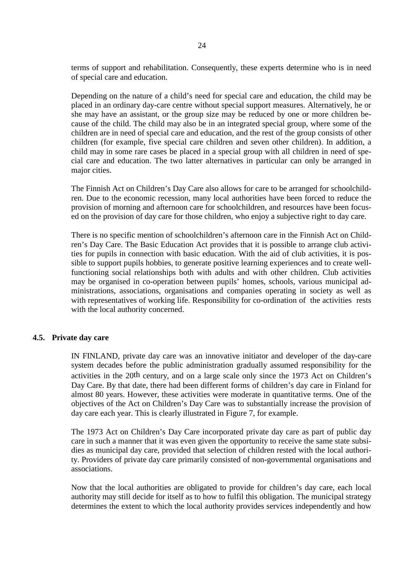terms of support and rehabilitation. Consequently, these experts determine who is in need of special care and education.

Depending on the nature of a child's need for special care and education, the child may be placed in an ordinary day-care centre without special support measures. Alternatively, he or she may have an assistant, or the group size may be reduced by one or more children because of the child. The child may also be in an integrated special group, where some of the children are in need of special care and education, and the rest of the group consists of other children (for example, five special care children and seven other children). In addition, a child may in some rare cases be placed in a special group with all children in need of special care and education. The two latter alternatives in particular can only be arranged in major cities.

The Finnish Act on Children's Day Care also allows for care to be arranged for schoolchildren. Due to the economic recession, many local authorities have been forced to reduce the provision of morning and afternoon care for schoolchildren, and resources have been focused on the provision of day care for those children, who enjoy a subjective right to day care.

There is no specific mention of schoolchildren's afternoon care in the Finnish Act on Children's Day Care. The Basic Education Act provides that it is possible to arrange club activities for pupils in connection with basic education. With the aid of club activities, it is possible to support pupils hobbies, to generate positive learning experiences and to create wellfunctioning social relationships both with adults and with other children. Club activities may be organised in co-operation between pupils' homes, schools, various municipal administrations, associations, organisations and companies operating in society as well as with representatives of working life. Responsibility for co-ordination of the activities rests with the local authority concerned.

#### **4.5. Private day care**

IN FINLAND, private day care was an innovative initiator and developer of the day-care system decades before the public administration gradually assumed responsibility for the activities in the 20th century, and on a large scale only since the 1973 Act on Children's Day Care. By that date, there had been different forms of children's day care in Finland for almost 80 years. However, these activities were moderate in quantitative terms. One of the objectives of the Act on Children's Day Care was to substantially increase the provision of day care each year. This is clearly illustrated in Figure 7, for example.

The 1973 Act on Children's Day Care incorporated private day care as part of public day care in such a manner that it was even given the opportunity to receive the same state subsidies as municipal day care, provided that selection of children rested with the local authority. Providers of private day care primarily consisted of non-governmental organisations and associations.

Now that the local authorities are obligated to provide for children's day care, each local authority may still decide for itself as to how to fulfil this obligation. The municipal strategy determines the extent to which the local authority provides services independently and how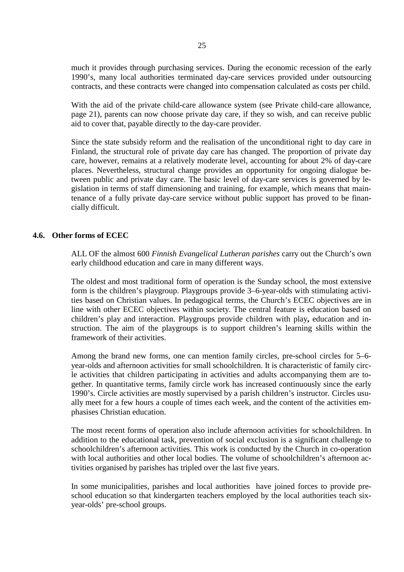much it provides through purchasing services. During the economic recession of the early 1990's, many local authorities terminated day-care services provided under outsourcing contracts, and these contracts were changed into compensation calculated as costs per child.

With the aid of the private child-care allowance system (see Private child-care allowance, page 21), parents can now choose private day care, if they so wish, and can receive public aid to cover that, payable directly to the day-care provider.

Since the state subsidy reform and the realisation of the unconditional right to day care in Finland, the structural role of private day care has changed. The proportion of private day care, however, remains at a relatively moderate level, accounting for about 2% of day-care places. Nevertheless, structural change provides an opportunity for ongoing dialogue between public and private day care. The basic level of day-care services is governed by legislation in terms of staff dimensioning and training, for example, which means that maintenance of a fully private day-care service without public support has proved to be financially difficult.

#### **4.6. Other forms of ECEC**

ALL OF the almost 600 *Finnish Evangelical Lutheran parishes* carry out the Church's own early childhood education and care in many different ways.

The oldest and most traditional form of operation is the Sunday school, the most extensive form is the children's playgroup. Playgroups provide 3–6-year-olds with stimulating activities based on Christian values. In pedagogical terms, the Church's ECEC objectives are in line with other ECEC objectives within society. The central feature is education based on children's play and interaction. Playgroups provide children with play**,** education and instruction. The aim of the playgroups is to support children's learning skills within the framework of their activities.

Among the brand new forms, one can mention family circles, pre-school circles for 5–6 year-olds and afternoon activities for small schoolchildren. It is characteristic of family circle activities that children participating in activities and adults accompanying them are together. In quantitative terms, family circle work has increased continuously since the early 1990's. Circle activities are mostly supervised by a parish children's instructor. Circles usually meet for a few hours a couple of times each week, and the content of the activities emphasises Christian education.

The most recent forms of operation also include afternoon activities for schoolchildren. In addition to the educational task, prevention of social exclusion is a significant challenge to schoolchildren's afternoon activities. This work is conducted by the Church in co-operation with local authorities and other local bodies. The volume of schoolchildren's afternoon activities organised by parishes has tripled over the last five years.

In some municipalities, parishes and local authorities have joined forces to provide preschool education so that kindergarten teachers employed by the local authorities teach sixyear-olds' pre-school groups.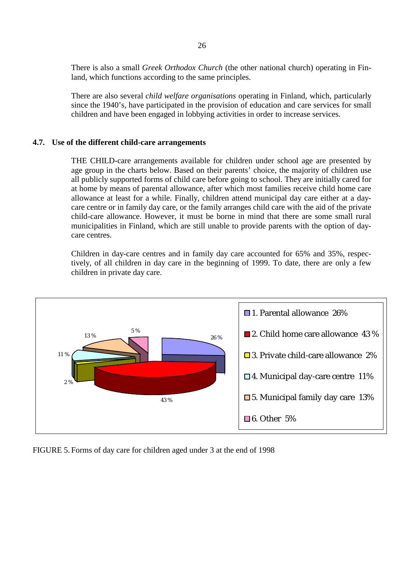There is also a small *Greek Orthodox Church* (the other national church) operating in Finland, which functions according to the same principles.

There are also several *child welfare organisations* operating in Finland, which, particularly since the 1940's, have participated in the provision of education and care services for small children and have been engaged in lobbying activities in order to increase services.

#### **4.7. Use of the different child-care arrangements**

THE CHILD-care arrangements available for children under school age are presented by age group in the charts below. Based on their parents' choice, the majority of children use all publicly supported forms of child care before going to school. They are initially cared for at home by means of parental allowance, after which most families receive child home care allowance at least for a while. Finally, children attend municipal day care either at a daycare centre or in family day care, or the family arranges child care with the aid of the private child-care allowance. However, it must be borne in mind that there are some small rural municipalities in Finland, which are still unable to provide parents with the option of daycare centres.

Children in day-care centres and in family day care accounted for 65% and 35%, respectively, of all children in day care in the beginning of 1999. To date, there are only a few children in private day care.



FIGURE 5. Forms of day care for children aged under 3 at the end of 1998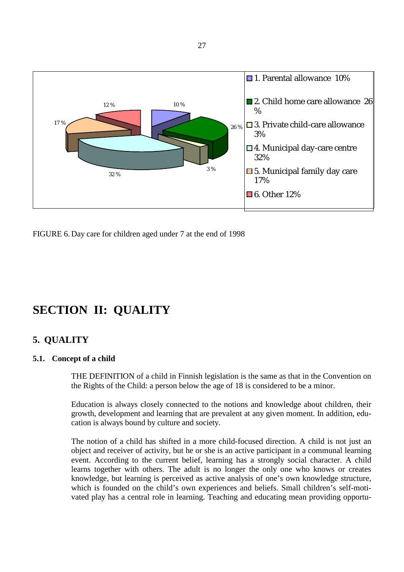

FIGURE 6. Day care for children aged under 7 at the end of 1998

## **SECTION II: QUALITY**

#### **5. QUALITY**

#### **5.1. Concept of a child**

THE DEFINITION of a child in Finnish legislation is the same as that in the Convention on the Rights of the Child: a person below the age of 18 is considered to be a minor.

Education is always closely connected to the notions and knowledge about children, their growth, development and learning that are prevalent at any given moment. In addition, education is always bound by culture and society.

The notion of a child has shifted in a more child-focused direction. A child is not just an object and receiver of activity, but he or she is an active participant in a communal learning event. According to the current belief, learning has a strongly social character. A child learns together with others. The adult is no longer the only one who knows or creates knowledge, but learning is perceived as active analysis of one's own knowledge structure, which is founded on the child's own experiences and beliefs. Small children's self-motivated play has a central role in learning. Teaching and educating mean providing opportu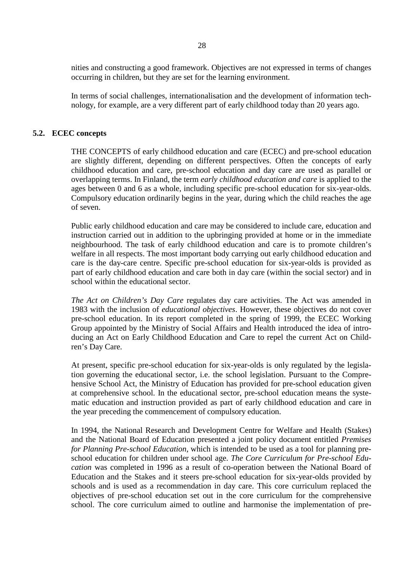nities and constructing a good framework. Objectives are not expressed in terms of changes occurring in children, but they are set for the learning environment.

In terms of social challenges, internationalisation and the development of information technology, for example, are a very different part of early childhood today than 20 years ago.

#### **5.2. ECEC concepts**

THE CONCEPTS of early childhood education and care (ECEC) and pre-school education are slightly different, depending on different perspectives. Often the concepts of early childhood education and care, pre-school education and day care are used as parallel or overlapping terms. In Finland, the term *early childhood education and care* is applied to the ages between 0 and 6 as a whole, including specific pre-school education for six-year-olds. Compulsory education ordinarily begins in the year, during which the child reaches the age of seven.

Public early childhood education and care may be considered to include care, education and instruction carried out in addition to the upbringing provided at home or in the immediate neighbourhood. The task of early childhood education and care is to promote children's welfare in all respects. The most important body carrying out early childhood education and care is the day-care centre. Specific pre-school education for six-year-olds is provided as part of early childhood education and care both in day care (within the social sector) and in school within the educational sector.

*The Act on Children's Day Care* regulates day care activities. The Act was amended in 1983 with the inclusion of *educational objectives*. However, these objectives do not cover pre-school education. In its report completed in the spring of 1999, the ECEC Working Group appointed by the Ministry of Social Affairs and Health introduced the idea of introducing an Act on Early Childhood Education and Care to repel the current Act on Children's Day Care.

At present, specific pre-school education for six-year-olds is only regulated by the legislation governing the educational sector, i.e. the school legislation. Pursuant to the Comprehensive School Act, the Ministry of Education has provided for pre-school education given at comprehensive school. In the educational sector, pre-school education means the systematic education and instruction provided as part of early childhood education and care in the year preceding the commencement of compulsory education.

In 1994, the National Research and Development Centre for Welfare and Health (Stakes) and the National Board of Education presented a joint policy document entitled *Premises for Planning Pre-school Education*, which is intended to be used as a tool for planning preschool education for children under school age. *The Core Curriculum for Pre-school Education* was completed in 1996 as a result of co-operation between the National Board of Education and the Stakes and it steers pre-school education for six-year-olds provided by schools and is used as a recommendation in day care. This core curriculum replaced the objectives of pre-school education set out in the core curriculum for the comprehensive school. The core curriculum aimed to outline and harmonise the implementation of pre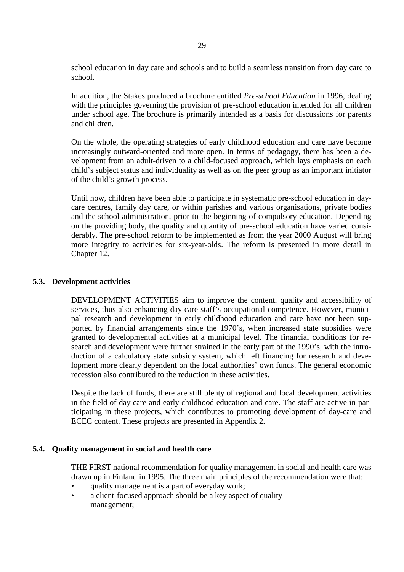school education in day care and schools and to build a seamless transition from day care to school.

In addition, the Stakes produced a brochure entitled *Pre-school Education* in 1996, dealing with the principles governing the provision of pre-school education intended for all children under school age. The brochure is primarily intended as a basis for discussions for parents and children.

On the whole, the operating strategies of early childhood education and care have become increasingly outward-oriented and more open. In terms of pedagogy, there has been a development from an adult-driven to a child-focused approach, which lays emphasis on each child's subject status and individuality as well as on the peer group as an important initiator of the child's growth process.

Until now, children have been able to participate in systematic pre-school education in daycare centres, family day care, or within parishes and various organisations, private bodies and the school administration, prior to the beginning of compulsory education. Depending on the providing body, the quality and quantity of pre-school education have varied considerably. The pre-school reform to be implemented as from the year 2000 August will bring more integrity to activities for six-year-olds. The reform is presented in more detail in Chapter 12.

#### **5.3. Development activities**

DEVELOPMENT ACTIVITIES aim to improve the content, quality and accessibility of services, thus also enhancing day-care staff's occupational competence. However, municipal research and development in early childhood education and care have not been supported by financial arrangements since the 1970's, when increased state subsidies were granted to developmental activities at a municipal level. The financial conditions for research and development were further strained in the early part of the 1990's, with the introduction of a calculatory state subsidy system, which left financing for research and development more clearly dependent on the local authorities' own funds. The general economic recession also contributed to the reduction in these activities.

Despite the lack of funds, there are still plenty of regional and local development activities in the field of day care and early childhood education and care. The staff are active in participating in these projects, which contributes to promoting development of day-care and ECEC content. These projects are presented in Appendix 2.

#### **5.4. Quality management in social and health care**

THE FIRST national recommendation for quality management in social and health care was drawn up in Finland in 1995. The three main principles of the recommendation were that:

- quality management is a part of everyday work;
- a client-focused approach should be a key aspect of quality management;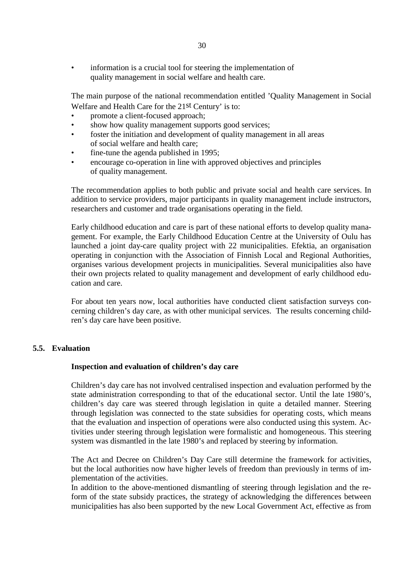• information is a crucial tool for steering the implementation of quality management in social welfare and health care.

The main purpose of the national recommendation entitled 'Quality Management in Social Welfare and Health Care for the 21st Century' is to:

- promote a client-focused approach;
- show how quality management supports good services;
- foster the initiation and development of quality management in all areas of social welfare and health care;
- fine-tune the agenda published in 1995;
- encourage co-operation in line with approved objectives and principles of quality management.

The recommendation applies to both public and private social and health care services. In addition to service providers, major participants in quality management include instructors, researchers and customer and trade organisations operating in the field.

Early childhood education and care is part of these national efforts to develop quality management. For example, the Early Childhood Education Centre at the University of Oulu has launched a joint day-care quality project with 22 municipalities. Efektia, an organisation operating in conjunction with the Association of Finnish Local and Regional Authorities, organises various development projects in municipalities. Several municipalities also have their own projects related to quality management and development of early childhood education and care.

For about ten years now, local authorities have conducted client satisfaction surveys concerning children's day care, as with other municipal services. The results concerning children's day care have been positive.

#### **5.5. Evaluation**

#### **Inspection and evaluation of children's day care**

Children's day care has not involved centralised inspection and evaluation performed by the state administration corresponding to that of the educational sector. Until the late 1980's, children's day care was steered through legislation in quite a detailed manner. Steering through legislation was connected to the state subsidies for operating costs, which means that the evaluation and inspection of operations were also conducted using this system. Activities under steering through legislation were formalistic and homogeneous. This steering system was dismantled in the late 1980's and replaced by steering by information.

The Act and Decree on Children's Day Care still determine the framework for activities, but the local authorities now have higher levels of freedom than previously in terms of implementation of the activities.

In addition to the above-mentioned dismantling of steering through legislation and the reform of the state subsidy practices, the strategy of acknowledging the differences between municipalities has also been supported by the new Local Government Act, effective as from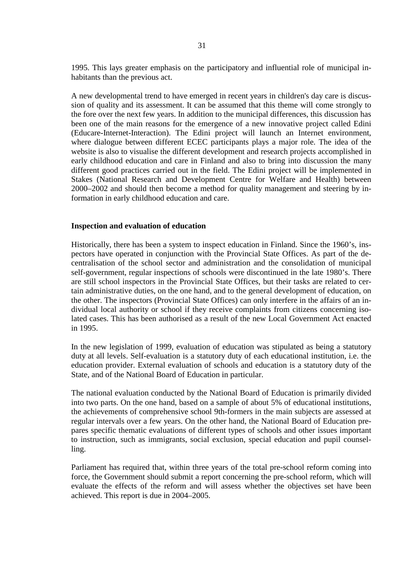1995. This lays greater emphasis on the participatory and influential role of municipal inhabitants than the previous act.

A new developmental trend to have emerged in recent years in children's day care is discussion of quality and its assessment. It can be assumed that this theme will come strongly to the fore over the next few years. In addition to the municipal differences, this discussion has been one of the main reasons for the emergence of a new innovative project called Edini (Educare-Internet-Interaction). The Edini project will launch an Internet environment, where dialogue between different ECEC participants plays a major role. The idea of the website is also to visualise the different development and research projects accomplished in early childhood education and care in Finland and also to bring into discussion the many different good practices carried out in the field. The Edini project will be implemented in Stakes (National Research and Development Centre for Welfare and Health) between 2000–2002 and should then become a method for quality management and steering by information in early childhood education and care.

#### **Inspection and evaluation of education**

Historically, there has been a system to inspect education in Finland. Since the 1960's, inspectors have operated in conjunction with the Provincial State Offices. As part of the decentralisation of the school sector and administration and the consolidation of municipal self-government, regular inspections of schools were discontinued in the late 1980's. There are still school inspectors in the Provincial State Offices, but their tasks are related to certain administrative duties, on the one hand, and to the general development of education, on the other. The inspectors (Provincial State Offices) can only interfere in the affairs of an individual local authority or school if they receive complaints from citizens concerning isolated cases. This has been authorised as a result of the new Local Government Act enacted in 1995.

In the new legislation of 1999, evaluation of education was stipulated as being a statutory duty at all levels. Self-evaluation is a statutory duty of each educational institution, i.e. the education provider. External evaluation of schools and education is a statutory duty of the State, and of the National Board of Education in particular.

The national evaluation conducted by the National Board of Education is primarily divided into two parts. On the one hand, based on a sample of about 5% of educational institutions, the achievements of comprehensive school 9th-formers in the main subjects are assessed at regular intervals over a few years. On the other hand, the National Board of Education prepares specific thematic evaluations of different types of schools and other issues important to instruction, such as immigrants, social exclusion, special education and pupil counselling.

Parliament has required that, within three years of the total pre-school reform coming into force, the Government should submit a report concerning the pre-school reform, which will evaluate the effects of the reform and will assess whether the objectives set have been achieved. This report is due in 2004–2005.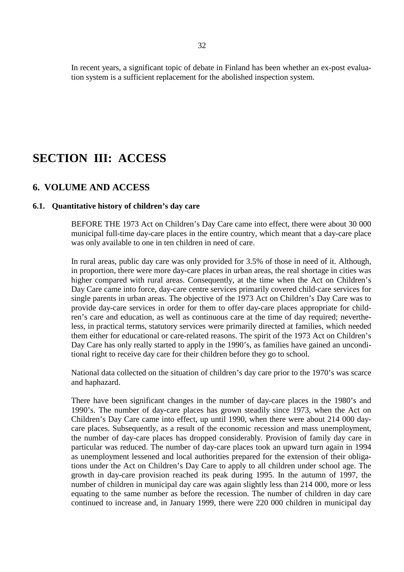In recent years, a significant topic of debate in Finland has been whether an ex-post evaluation system is a sufficient replacement for the abolished inspection system.

## **SECTION III: ACCESS**

#### **6. VOLUME AND ACCESS**

#### **6.1. Quantitative history of children's day care**

BEFORE THE 1973 Act on Children's Day Care came into effect, there were about 30 000 municipal full-time day-care places in the entire country, which meant that a day-care place was only available to one in ten children in need of care.

In rural areas, public day care was only provided for 3.5% of those in need of it. Although, in proportion, there were more day-care places in urban areas, the real shortage in cities was higher compared with rural areas. Consequently, at the time when the Act on Children's Day Care came into force, day-care centre services primarily covered child-care services for single parents in urban areas. The objective of the 1973 Act on Children's Day Care was to provide day-care services in order for them to offer day-care places appropriate for children's care and education, as well as continuous care at the time of day required; nevertheless, in practical terms, statutory services were primarily directed at families, which needed them either for educational or care-related reasons. The spirit of the 1973 Act on Children's Day Care has only really started to apply in the 1990's, as families have gained an unconditional right to receive day care for their children before they go to school.

National data collected on the situation of children's day care prior to the 1970's was scarce and haphazard.

There have been significant changes in the number of day-care places in the 1980's and 1990's. The number of day-care places has grown steadily since 1973, when the Act on Children's Day Care came into effect, up until 1990, when there were about 214 000 daycare places. Subsequently, as a result of the economic recession and mass unemployment, the number of day-care places has dropped considerably. Provision of family day care in particular was reduced. The number of day-care places took an upward turn again in 1994 as unemployment lessened and local authorities prepared for the extension of their obligations under the Act on Children's Day Care to apply to all children under school age. The growth in day-care provision reached its peak during 1995. In the autumn of 1997, the number of children in municipal day care was again slightly less than 214 000, more or less equating to the same number as before the recession. The number of children in day care continued to increase and, in January 1999, there were 220 000 children in municipal day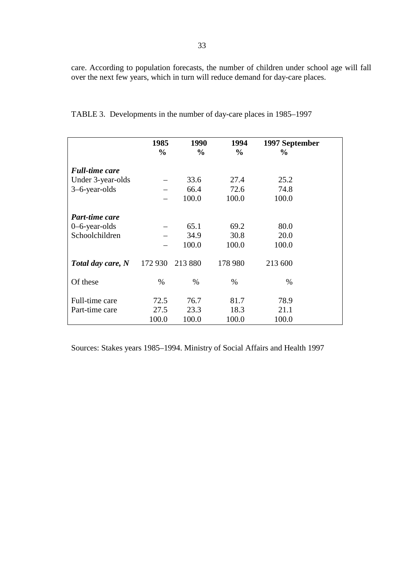care. According to population forecasts, the number of children under school age will fall over the next few years, which in turn will reduce demand for day-care places.

|                       | 1985          | 1990          | 1994          | 1997 September |  |
|-----------------------|---------------|---------------|---------------|----------------|--|
|                       | $\frac{0}{0}$ | $\frac{6}{6}$ | $\frac{0}{0}$ | $\%$           |  |
| <b>Full-time care</b> |               |               |               |                |  |
| Under 3-year-olds     |               | 33.6          | 27.4          | 25.2           |  |
| 3–6-year-olds         |               | 66.4          | 72.6          | 74.8           |  |
|                       |               | 100.0         | 100.0         | 100.0          |  |
|                       |               |               |               |                |  |
| <b>Part-time care</b> |               |               |               |                |  |
| $0$ –6-year-olds      |               | 65.1          | 69.2          | 80.0           |  |
| Schoolchildren        |               | 34.9          | 30.8          | 20.0           |  |
|                       |               | 100.0         | 100.0         | 100.0          |  |
|                       |               |               |               |                |  |
| Total day care, N     | 172 930       | 213 880       | 178 980       | 213 600        |  |
|                       |               |               |               |                |  |
| Of these              | $\%$          | $\%$          | $\%$          | $\%$           |  |
|                       |               |               |               |                |  |
| Full-time care        | 72.5          | 76.7          | 81.7          | 78.9           |  |
| Part-time care        | 27.5          | 23.3          | 18.3          | 21.1           |  |
|                       | 100.0         | 100.0         | 100.0         | 100.0          |  |

TABLE 3. Developments in the number of day-care places in 1985–1997

Sources: Stakes years 1985–1994. Ministry of Social Affairs and Health 1997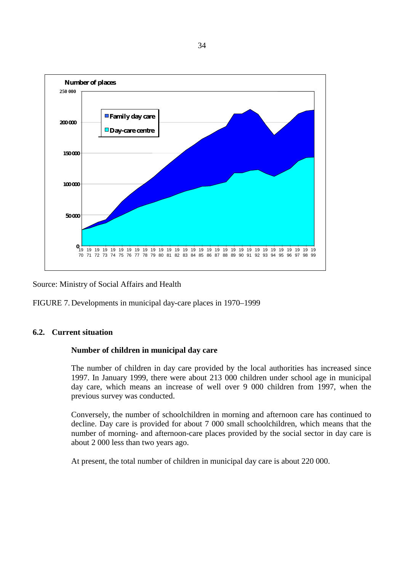

Source: Ministry of Social Affairs and Health

FIGURE 7. Developments in municipal day-care places in 1970–1999

#### **6.2. Current situation**

#### **Number of children in municipal day care**

The number of children in day care provided by the local authorities has increased since 1997. In January 1999, there were about 213 000 children under school age in municipal day care, which means an increase of well over 9 000 children from 1997, when the previous survey was conducted.

Conversely, the number of schoolchildren in morning and afternoon care has continued to decline. Day care is provided for about 7 000 small schoolchildren, which means that the number of morning- and afternoon-care places provided by the social sector in day care is about 2 000 less than two years ago.

At present, the total number of children in municipal day care is about 220 000.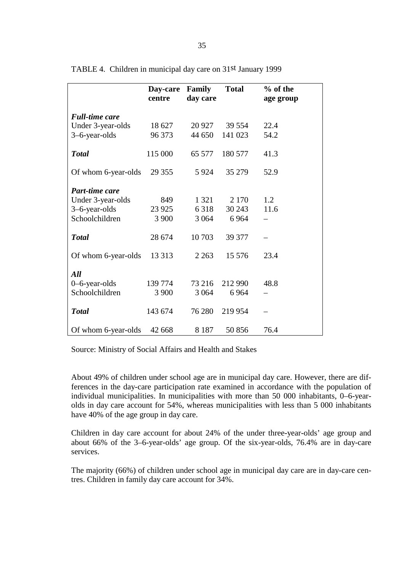|                       | <b>Day-care</b><br>centre | <b>Family</b><br>day care | <b>Total</b> | % of the<br>age group |
|-----------------------|---------------------------|---------------------------|--------------|-----------------------|
| <b>Full-time care</b> |                           |                           |              |                       |
| Under 3-year-olds     | 18 627                    | 20 9 27                   | 39 5 54      | 22.4                  |
| 3-6-year-olds         | 96 373                    | 44 650                    | 141 023      | 54.2                  |
| <b>Total</b>          | 115 000                   | 65 577                    | 180 577      | 41.3                  |
| Of whom 6-year-olds   | 29 35 5                   | 5924                      | 35 279       | 52.9                  |
| Part-time care        |                           |                           |              |                       |
| Under 3-year-olds     | 849                       | 1 3 2 1                   | 2 1 7 0      | 1.2                   |
| 3-6-year-olds         | 23 9 25                   | 6318                      | 30 24 3      | 11.6                  |
| Schoolchildren        | 3 900                     | 3 0 6 4                   | 6964         |                       |
| <b>Total</b>          | 28 674                    | 10703                     | 39 377       |                       |
| Of whom 6-year-olds   | 13 3 13                   | 2 2 6 3                   | 15 576       | 23.4                  |
| All                   |                           |                           |              |                       |
| $0$ –6-year-olds      | 139 774                   | 73 216                    | 212 990      | 48.8                  |
| Schoolchildren        | 3 900                     | 3 0 6 4                   | 6964         |                       |
| <b>Total</b>          | 143 674                   | 76 280                    | 219 954      |                       |
| Of whom 6-year-olds   | 42 668                    | 8 1 8 7                   | 50 856       | 76.4                  |

TABLE 4. Children in municipal day care on 31st January 1999

Source: Ministry of Social Affairs and Health and Stakes

About 49% of children under school age are in municipal day care. However, there are differences in the day-care participation rate examined in accordance with the population of individual municipalities. In municipalities with more than 50 000 inhabitants, 0–6-yearolds in day care account for 54%, whereas municipalities with less than 5 000 inhabitants have 40% of the age group in day care.

Children in day care account for about 24% of the under three-year-olds' age group and about 66% of the 3–6-year-olds' age group. Of the six-year-olds, 76.4% are in day-care services.

The majority (66%) of children under school age in municipal day care are in day-care centres. Children in family day care account for 34%.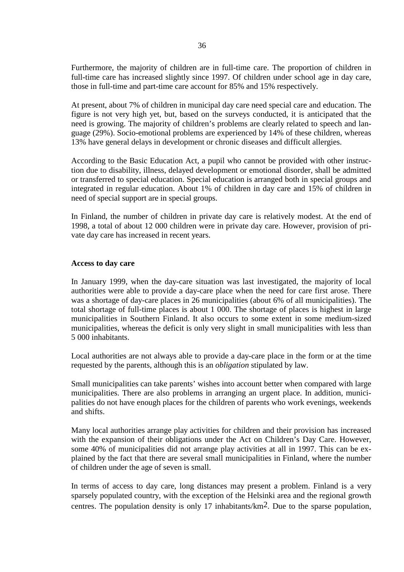Furthermore, the majority of children are in full-time care. The proportion of children in full-time care has increased slightly since 1997. Of children under school age in day care, those in full-time and part-time care account for 85% and 15% respectively.

At present, about 7% of children in municipal day care need special care and education. The figure is not very high yet, but, based on the surveys conducted, it is anticipated that the need is growing. The majority of children's problems are clearly related to speech and language (29%). Socio-emotional problems are experienced by 14% of these children, whereas 13% have general delays in development or chronic diseases and difficult allergies.

According to the Basic Education Act, a pupil who cannot be provided with other instruction due to disability, illness, delayed development or emotional disorder, shall be admitted or transferred to special education. Special education is arranged both in special groups and integrated in regular education. About 1% of children in day care and 15% of children in need of special support are in special groups.

In Finland, the number of children in private day care is relatively modest. At the end of 1998, a total of about 12 000 children were in private day care. However, provision of private day care has increased in recent years.

#### **Access to day care**

In January 1999, when the day-care situation was last investigated, the majority of local authorities were able to provide a day-care place when the need for care first arose. There was a shortage of day-care places in 26 municipalities (about 6% of all municipalities). The total shortage of full-time places is about 1 000. The shortage of places is highest in large municipalities in Southern Finland. It also occurs to some extent in some medium-sized municipalities, whereas the deficit is only very slight in small municipalities with less than 5 000 inhabitants.

Local authorities are not always able to provide a day-care place in the form or at the time requested by the parents, although this is an *obligation* stipulated by law.

Small municipalities can take parents' wishes into account better when compared with large municipalities. There are also problems in arranging an urgent place. In addition, municipalities do not have enough places for the children of parents who work evenings, weekends and shifts.

Many local authorities arrange play activities for children and their provision has increased with the expansion of their obligations under the Act on Children's Day Care. However, some 40% of municipalities did not arrange play activities at all in 1997. This can be explained by the fact that there are several small municipalities in Finland, where the number of children under the age of seven is small.

In terms of access to day care, long distances may present a problem. Finland is a very sparsely populated country, with the exception of the Helsinki area and the regional growth centres. The population density is only 17 inhabitants/km2. Due to the sparse population,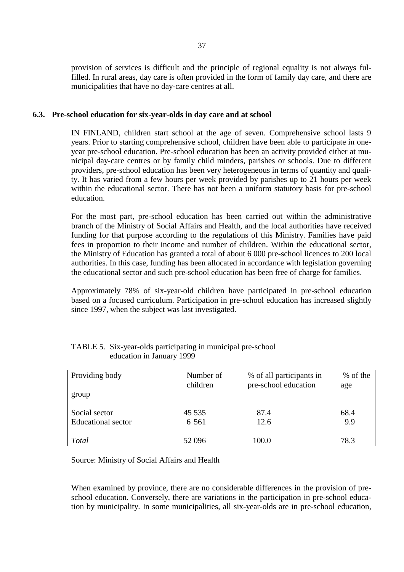provision of services is difficult and the principle of regional equality is not always fulfilled. In rural areas, day care is often provided in the form of family day care, and there are municipalities that have no day-care centres at all.

#### **6.3. Pre-school education for six-year-olds in day care and at school**

IN FINLAND, children start school at the age of seven. Comprehensive school lasts 9 years. Prior to starting comprehensive school, children have been able to participate in oneyear pre-school education. Pre-school education has been an activity provided either at municipal day-care centres or by family child minders, parishes or schools. Due to different providers, pre-school education has been very heterogeneous in terms of quantity and quality. It has varied from a few hours per week provided by parishes up to 21 hours per week within the educational sector. There has not been a uniform statutory basis for pre-school education.

For the most part, pre-school education has been carried out within the administrative branch of the Ministry of Social Affairs and Health, and the local authorities have received funding for that purpose according to the regulations of this Ministry. Families have paid fees in proportion to their income and number of children. Within the educational sector, the Ministry of Education has granted a total of about 6 000 pre-school licences to 200 local authorities. In this case, funding has been allocated in accordance with legislation governing the educational sector and such pre-school education has been free of charge for families.

Approximately 78% of six-year-old children have participated in pre-school education based on a focused curriculum. Participation in pre-school education has increased slightly since 1997, when the subject was last investigated.

| Providing body            | Number of<br>children | % of all participants in<br>pre-school education | % of the<br>age |
|---------------------------|-----------------------|--------------------------------------------------|-----------------|
| group                     |                       |                                                  |                 |
| Social sector             | 45 5 35               | 87.4                                             | 68.4            |
| <b>Educational</b> sector | 6 5 6 1               | 12.6                                             | 9.9             |
| Total                     | 52 096                | 100.0                                            | 78.3            |

#### TABLE 5. Six-year-olds participating in municipal pre-school education in January 1999

Source: Ministry of Social Affairs and Health

When examined by province, there are no considerable differences in the provision of preschool education. Conversely, there are variations in the participation in pre-school education by municipality. In some municipalities, all six-year-olds are in pre-school education,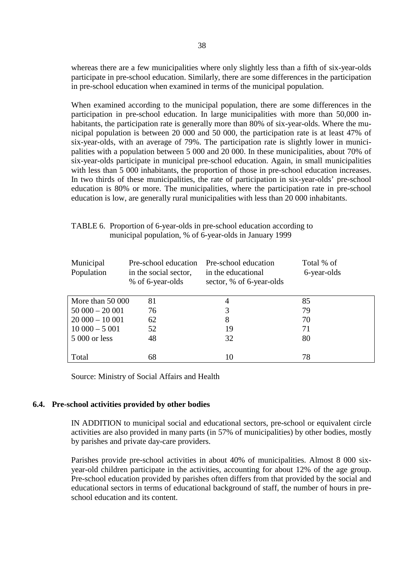whereas there are a few municipalities where only slightly less than a fifth of six-year-olds participate in pre-school education. Similarly, there are some differences in the participation in pre-school education when examined in terms of the municipal population.

When examined according to the municipal population, there are some differences in the participation in pre-school education. In large municipalities with more than 50,000 inhabitants, the participation rate is generally more than 80% of six-year-olds. Where the municipal population is between 20 000 and 50 000, the participation rate is at least 47% of six-year-olds, with an average of 79%. The participation rate is slightly lower in municipalities with a population between 5 000 and 20 000. In these municipalities, about 70% of six-year-olds participate in municipal pre-school education. Again, in small municipalities with less than 5 000 inhabitants, the proportion of those in pre-school education increases. In two thirds of these municipalities, the rate of participation in six-year-olds' pre-school education is 80% or more. The municipalities, where the participation rate in pre-school education is low, are generally rural municipalities with less than 20 000 inhabitants.

| Municipal<br>Population | Pre-school education<br>in the social sector,<br>% of 6-year-olds | Pre-school education<br>in the educational<br>sector, % of 6-year-olds | Total % of<br>6-year-olds |
|-------------------------|-------------------------------------------------------------------|------------------------------------------------------------------------|---------------------------|
| More than 50 000        | 81                                                                | 4                                                                      | 85                        |
| $50000 - 20001$         | 76                                                                | 3                                                                      | 79                        |
| $20000 - 10001$         | 62                                                                | 8                                                                      | 70                        |
| $10000 - 5001$          | 52                                                                | 19                                                                     | 71                        |
| 5 000 or less           | 48                                                                | 32                                                                     | 80                        |
|                         |                                                                   |                                                                        |                           |
| Total                   | 68                                                                | 10                                                                     | 78                        |

| TABLE 6. Proportion of 6-year-olds in pre-school education according to |
|-------------------------------------------------------------------------|
| municipal population, % of 6-year-olds in January 1999                  |

Source: Ministry of Social Affairs and Health

#### **6.4. Pre-school activities provided by other bodies**

IN ADDITION to municipal social and educational sectors, pre-school or equivalent circle activities are also provided in many parts (in 57% of municipalities) by other bodies, mostly by parishes and private day-care providers.

Parishes provide pre-school activities in about 40% of municipalities. Almost 8 000 sixyear-old children participate in the activities, accounting for about 12% of the age group. Pre-school education provided by parishes often differs from that provided by the social and educational sectors in terms of educational background of staff, the number of hours in preschool education and its content.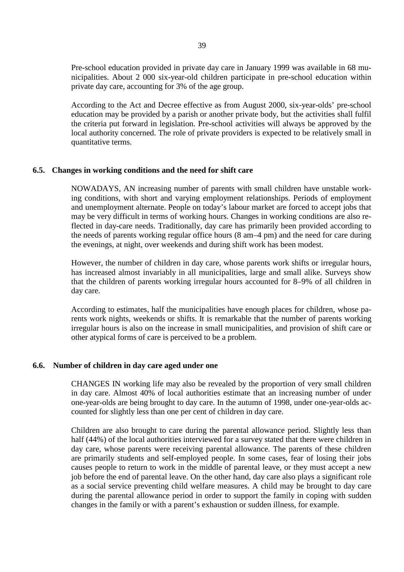Pre-school education provided in private day care in January 1999 was available in 68 municipalities. About 2 000 six-year-old children participate in pre-school education within private day care, accounting for 3% of the age group.

According to the Act and Decree effective as from August 2000, six-year-olds' pre-school education may be provided by a parish or another private body, but the activities shall fulfil the criteria put forward in legislation. Pre-school activities will always be approved by the local authority concerned. The role of private providers is expected to be relatively small in quantitative terms.

#### **6.5. Changes in working conditions and the need for shift care**

NOWADAYS, AN increasing number of parents with small children have unstable working conditions, with short and varying employment relationships. Periods of employment and unemployment alternate. People on today's labour market are forced to accept jobs that may be very difficult in terms of working hours. Changes in working conditions are also reflected in day-care needs. Traditionally, day care has primarily been provided according to the needs of parents working regular office hours (8 am–4 pm) and the need for care during the evenings, at night, over weekends and during shift work has been modest.

However, the number of children in day care, whose parents work shifts or irregular hours, has increased almost invariably in all municipalities, large and small alike. Surveys show that the children of parents working irregular hours accounted for 8–9% of all children in day care.

According to estimates, half the municipalities have enough places for children, whose parents work nights, weekends or shifts. It is remarkable that the number of parents working irregular hours is also on the increase in small municipalities, and provision of shift care or other atypical forms of care is perceived to be a problem.

#### **6.6. Number of children in day care aged under one**

CHANGES IN working life may also be revealed by the proportion of very small children in day care. Almost 40% of local authorities estimate that an increasing number of under one-year-olds are being brought to day care. In the autumn of 1998, under one-year-olds accounted for slightly less than one per cent of children in day care.

Children are also brought to care during the parental allowance period. Slightly less than half (44%) of the local authorities interviewed for a survey stated that there were children in day care, whose parents were receiving parental allowance. The parents of these children are primarily students and self-employed people. In some cases, fear of losing their jobs causes people to return to work in the middle of parental leave, or they must accept a new job before the end of parental leave. On the other hand, day care also plays a significant role as a social service preventing child welfare measures. A child may be brought to day care during the parental allowance period in order to support the family in coping with sudden changes in the family or with a parent's exhaustion or sudden illness, for example.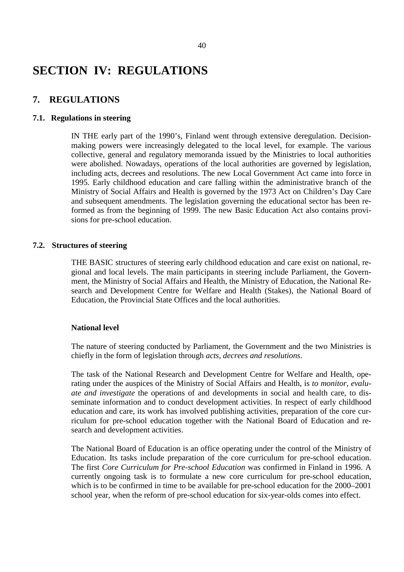# **SECTION IV: REGULATIONS**

## **7. REGULATIONS**

#### **7.1. Regulations in steering**

IN THE early part of the 1990's, Finland went through extensive deregulation. Decisionmaking powers were increasingly delegated to the local level, for example. The various collective, general and regulatory memoranda issued by the Ministries to local authorities were abolished. Nowadays, operations of the local authorities are governed by legislation, including acts, decrees and resolutions. The new Local Government Act came into force in 1995. Early childhood education and care falling within the administrative branch of the Ministry of Social Affairs and Health is governed by the 1973 Act on Children's Day Care and subsequent amendments. The legislation governing the educational sector has been reformed as from the beginning of 1999. The new Basic Education Act also contains provisions for pre-school education.

#### **7.2. Structures of steering**

THE BASIC structures of steering early childhood education and care exist on national, regional and local levels. The main participants in steering include Parliament, the Government, the Ministry of Social Affairs and Health, the Ministry of Education, the National Research and Development Centre for Welfare and Health (Stakes), the National Board of Education, the Provincial State Offices and the local authorities.

#### **National level**

The nature of steering conducted by Parliament, the Government and the two Ministries is chiefly in the form of legislation through *acts, decrees and resolutions*.

The task of the National Research and Development Centre for Welfare and Health, operating under the auspices of the Ministry of Social Affairs and Health, is *to monitor, evaluate and investigate* the operations of and developments in social and health care, to disseminate information and to conduct development activities. In respect of early childhood education and care, its work has involved publishing activities, preparation of the core curriculum for pre-school education together with the National Board of Education and research and development activities.

The National Board of Education is an office operating under the control of the Ministry of Education. Its tasks include preparation of the core curriculum for pre-school education. The first *Core Curriculum for Pre-school Education* was confirmed in Finland in 1996. A currently ongoing task is to formulate a new core curriculum for pre-school education, which is to be confirmed in time to be available for pre-school education for the 2000–2001 school year, when the reform of pre-school education for six-year-olds comes into effect.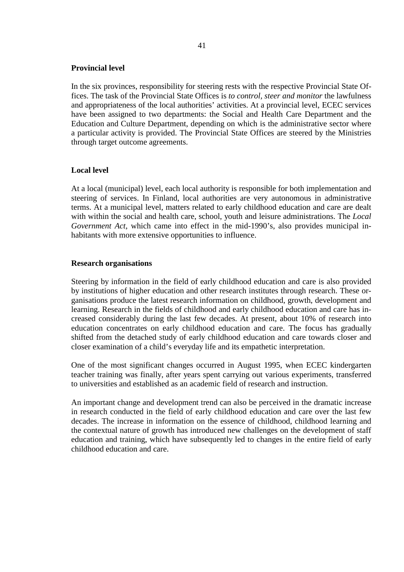#### **Provincial level**

In the six provinces, responsibility for steering rests with the respective Provincial State Offices. The task of the Provincial State Offices is *to control, steer and monitor* the lawfulness and appropriateness of the local authorities' activities. At a provincial level, ECEC services have been assigned to two departments: the Social and Health Care Department and the Education and Culture Department, depending on which is the administrative sector where a particular activity is provided. The Provincial State Offices are steered by the Ministries through target outcome agreements.

#### **Local level**

At a local (municipal) level, each local authority is responsible for both implementation and steering of services. In Finland, local authorities are very autonomous in administrative terms. At a municipal level, matters related to early childhood education and care are dealt with within the social and health care, school, youth and leisure administrations. The *Local Government Act*, which came into effect in the mid-1990's, also provides municipal inhabitants with more extensive opportunities to influence.

#### **Research organisations**

Steering by information in the field of early childhood education and care is also provided by institutions of higher education and other research institutes through research. These organisations produce the latest research information on childhood, growth, development and learning. Research in the fields of childhood and early childhood education and care has increased considerably during the last few decades. At present, about 10% of research into education concentrates on early childhood education and care. The focus has gradually shifted from the detached study of early childhood education and care towards closer and closer examination of a child's everyday life and its empathetic interpretation.

One of the most significant changes occurred in August 1995, when ECEC kindergarten teacher training was finally, after years spent carrying out various experiments, transferred to universities and established as an academic field of research and instruction.

An important change and development trend can also be perceived in the dramatic increase in research conducted in the field of early childhood education and care over the last few decades. The increase in information on the essence of childhood, childhood learning and the contextual nature of growth has introduced new challenges on the development of staff education and training, which have subsequently led to changes in the entire field of early childhood education and care.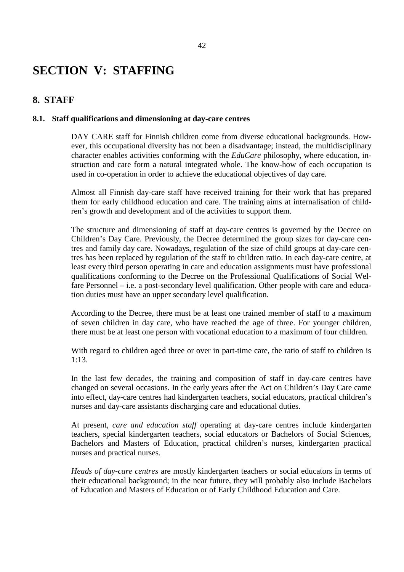## **SECTION V: STAFFING**

### **8. STAFF**

#### **8.1. Staff qualifications and dimensioning at day-care centres**

DAY CARE staff for Finnish children come from diverse educational backgrounds. However, this occupational diversity has not been a disadvantage; instead, the multidisciplinary character enables activities conforming with the *EduCare* philosophy, where education, instruction and care form a natural integrated whole. The know-how of each occupation is used in co-operation in order to achieve the educational objectives of day care.

Almost all Finnish day-care staff have received training for their work that has prepared them for early childhood education and care. The training aims at internalisation of children's growth and development and of the activities to support them.

The structure and dimensioning of staff at day-care centres is governed by the Decree on Children's Day Care. Previously, the Decree determined the group sizes for day-care centres and family day care. Nowadays, regulation of the size of child groups at day-care centres has been replaced by regulation of the staff to children ratio. In each day-care centre, at least every third person operating in care and education assignments must have professional qualifications conforming to the Decree on the Professional Qualifications of Social Welfare Personnel – i.e. a post-secondary level qualification. Other people with care and education duties must have an upper secondary level qualification.

According to the Decree, there must be at least one trained member of staff to a maximum of seven children in day care, who have reached the age of three. For younger children, there must be at least one person with vocational education to a maximum of four children.

With regard to children aged three or over in part-time care, the ratio of staff to children is 1:13.

In the last few decades, the training and composition of staff in day-care centres have changed on several occasions. In the early years after the Act on Children's Day Care came into effect, day-care centres had kindergarten teachers, social educators, practical children's nurses and day-care assistants discharging care and educational duties.

At present, *care and education staff* operating at day-care centres include kindergarten teachers, special kindergarten teachers, social educators or Bachelors of Social Sciences, Bachelors and Masters of Education, practical children's nurses, kindergarten practical nurses and practical nurses.

*Heads of day-care centres* are mostly kindergarten teachers or social educators in terms of their educational background; in the near future, they will probably also include Bachelors of Education and Masters of Education or of Early Childhood Education and Care.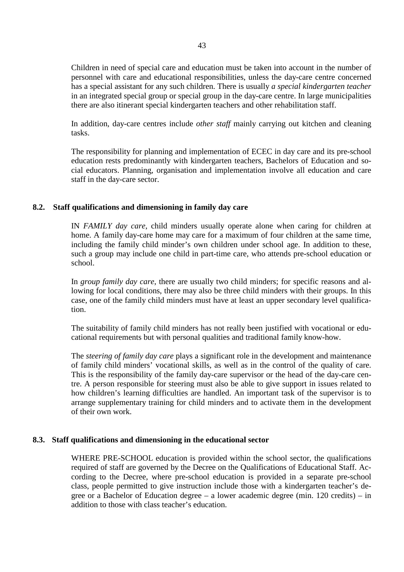Children in need of special care and education must be taken into account in the number of personnel with care and educational responsibilities, unless the day-care centre concerned has a special assistant for any such children. There is usually *a special kindergarten teacher* in an integrated special group or special group in the day-care centre. In large municipalities there are also itinerant special kindergarten teachers and other rehabilitation staff.

In addition, day-care centres include *other staff* mainly carrying out kitchen and cleaning tasks.

The responsibility for planning and implementation of ECEC in day care and its pre-school education rests predominantly with kindergarten teachers, Bachelors of Education and social educators. Planning, organisation and implementation involve all education and care staff in the day-care sector.

#### **8.2. Staff qualifications and dimensioning in family day care**

IN *FAMILY day care*, child minders usually operate alone when caring for children at home. A family day-care home may care for a maximum of four children at the same time, including the family child minder's own children under school age. In addition to these, such a group may include one child in part-time care, who attends pre-school education or school.

In *group family day care*, there are usually two child minders; for specific reasons and allowing for local conditions, there may also be three child minders with their groups. In this case, one of the family child minders must have at least an upper secondary level qualification.

The suitability of family child minders has not really been justified with vocational or educational requirements but with personal qualities and traditional family know-how.

The *steering of family day care* plays a significant role in the development and maintenance of family child minders' vocational skills, as well as in the control of the quality of care. This is the responsibility of the family day-care supervisor or the head of the day-care centre. A person responsible for steering must also be able to give support in issues related to how children's learning difficulties are handled. An important task of the supervisor is to arrange supplementary training for child minders and to activate them in the development of their own work.

#### **8.3. Staff qualifications and dimensioning in the educational sector**

WHERE PRE-SCHOOL education is provided within the school sector, the qualifications required of staff are governed by the Decree on the Qualifications of Educational Staff. According to the Decree, where pre-school education is provided in a separate pre-school class, people permitted to give instruction include those with a kindergarten teacher's degree or a Bachelor of Education degree – a lower academic degree (min. 120 credits) – in addition to those with class teacher's education.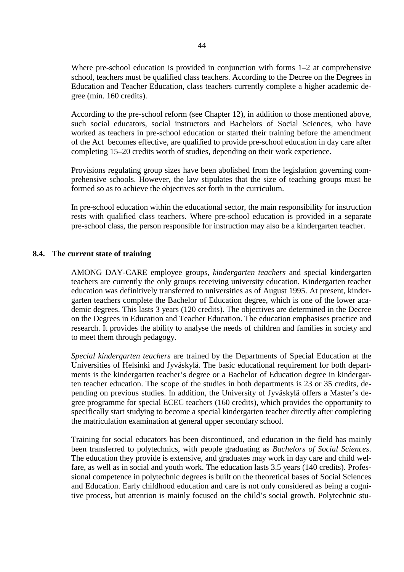Where pre-school education is provided in conjunction with forms 1–2 at comprehensive school, teachers must be qualified class teachers. According to the Decree on the Degrees in Education and Teacher Education, class teachers currently complete a higher academic degree (min. 160 credits).

According to the pre-school reform (see Chapter 12), in addition to those mentioned above, such social educators, social instructors and Bachelors of Social Sciences, who have worked as teachers in pre-school education or started their training before the amendment of the Act becomes effective, are qualified to provide pre-school education in day care after completing 15–20 credits worth of studies, depending on their work experience.

Provisions regulating group sizes have been abolished from the legislation governing comprehensive schools. However, the law stipulates that the size of teaching groups must be formed so as to achieve the objectives set forth in the curriculum.

In pre-school education within the educational sector, the main responsibility for instruction rests with qualified class teachers. Where pre-school education is provided in a separate pre-school class, the person responsible for instruction may also be a kindergarten teacher.

#### **8.4. The current state of training**

AMONG DAY-CARE employee groups, *kindergarten teachers* and special kindergarten teachers are currently the only groups receiving university education. Kindergarten teacher education was definitively transferred to universities as of August 1995. At present, kindergarten teachers complete the Bachelor of Education degree, which is one of the lower academic degrees. This lasts 3 years (120 credits). The objectives are determined in the Decree on the Degrees in Education and Teacher Education. The education emphasises practice and research. It provides the ability to analyse the needs of children and families in society and to meet them through pedagogy.

*Special kindergarten teachers* are trained by the Departments of Special Education at the Universities of Helsinki and Jyväskylä. The basic educational requirement for both departments is the kindergarten teacher's degree or a Bachelor of Education degree in kindergarten teacher education. The scope of the studies in both departments is 23 or 35 credits, depending on previous studies. In addition, the University of Jyväskylä offers a Master's degree programme for special ECEC teachers (160 credits), which provides the opportunity to specifically start studying to become a special kindergarten teacher directly after completing the matriculation examination at general upper secondary school.

Training for social educators has been discontinued, and education in the field has mainly been transferred to polytechnics, with people graduating as *Bachelors of Social Sciences*. The education they provide is extensive, and graduates may work in day care and child welfare, as well as in social and youth work. The education lasts 3.5 years (140 credits). Professional competence in polytechnic degrees is built on the theoretical bases of Social Sciences and Education. Early childhood education and care is not only considered as being a cognitive process, but attention is mainly focused on the child's social growth. Polytechnic stu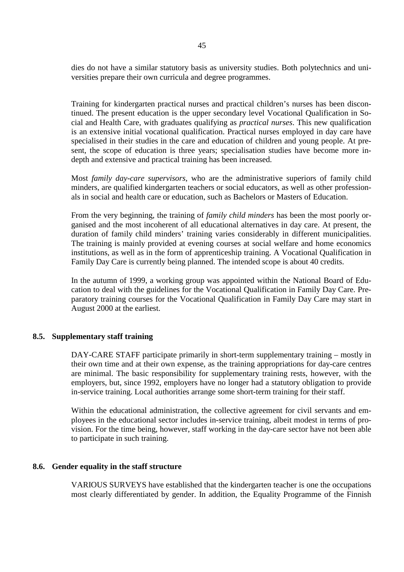dies do not have a similar statutory basis as university studies. Both polytechnics and universities prepare their own curricula and degree programmes.

Training for kindergarten practical nurses and practical children's nurses has been discontinued. The present education is the upper secondary level Vocational Qualification in Social and Health Care, with graduates qualifying as *practical nurses*. This new qualification is an extensive initial vocational qualification. Practical nurses employed in day care have specialised in their studies in the care and education of children and young people. At present, the scope of education is three years; specialisation studies have become more indepth and extensive and practical training has been increased.

Most *family day-care supervisors*, who are the administrative superiors of family child minders, are qualified kindergarten teachers or social educators, as well as other professionals in social and health care or education, such as Bachelors or Masters of Education.

From the very beginning, the training of *family child minders* has been the most poorly organised and the most incoherent of all educational alternatives in day care. At present, the duration of family child minders' training varies considerably in different municipalities. The training is mainly provided at evening courses at social welfare and home economics institutions, as well as in the form of apprenticeship training. A Vocational Qualification in Family Day Care is currently being planned. The intended scope is about 40 credits.

In the autumn of 1999, a working group was appointed within the National Board of Education to deal with the guidelines for the Vocational Qualification in Family Day Care. Preparatory training courses for the Vocational Qualification in Family Day Care may start in August 2000 at the earliest.

#### **8.5. Supplementary staff training**

DAY-CARE STAFF participate primarily in short-term supplementary training – mostly in their own time and at their own expense, as the training appropriations for day-care centres are minimal. The basic responsibility for supplementary training rests, however, with the employers, but, since 1992, employers have no longer had a statutory obligation to provide in-service training. Local authorities arrange some short-term training for their staff.

Within the educational administration, the collective agreement for civil servants and employees in the educational sector includes in-service training, albeit modest in terms of provision. For the time being, however, staff working in the day-care sector have not been able to participate in such training.

#### **8.6. Gender equality in the staff structure**

VARIOUS SURVEYS have established that the kindergarten teacher is one the occupations most clearly differentiated by gender. In addition, the Equality Programme of the Finnish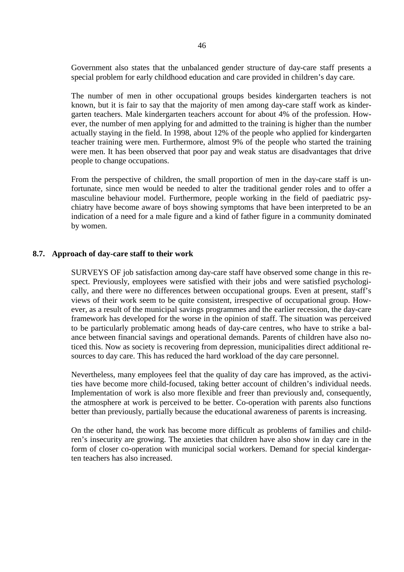Government also states that the unbalanced gender structure of day-care staff presents a special problem for early childhood education and care provided in children's day care.

The number of men in other occupational groups besides kindergarten teachers is not known, but it is fair to say that the majority of men among day-care staff work as kindergarten teachers. Male kindergarten teachers account for about 4% of the profession. However, the number of men applying for and admitted to the training is higher than the number actually staying in the field. In 1998, about 12% of the people who applied for kindergarten teacher training were men. Furthermore, almost 9% of the people who started the training were men. It has been observed that poor pay and weak status are disadvantages that drive people to change occupations.

From the perspective of children, the small proportion of men in the day-care staff is unfortunate, since men would be needed to alter the traditional gender roles and to offer a masculine behaviour model. Furthermore, people working in the field of paediatric psychiatry have become aware of boys showing symptoms that have been interpreted to be an indication of a need for a male figure and a kind of father figure in a community dominated by women.

#### **8.7. Approach of day-care staff to their work**

SURVEYS OF job satisfaction among day-care staff have observed some change in this respect. Previously, employees were satisfied with their jobs and were satisfied psychologically, and there were no differences between occupational groups. Even at present, staff's views of their work seem to be quite consistent, irrespective of occupational group. However, as a result of the municipal savings programmes and the earlier recession, the day-care framework has developed for the worse in the opinion of staff. The situation was perceived to be particularly problematic among heads of day-care centres, who have to strike a balance between financial savings and operational demands. Parents of children have also noticed this. Now as society is recovering from depression, municipalities direct additional resources to day care. This has reduced the hard workload of the day care personnel.

Nevertheless, many employees feel that the quality of day care has improved, as the activities have become more child-focused, taking better account of children's individual needs. Implementation of work is also more flexible and freer than previously and, consequently, the atmosphere at work is perceived to be better. Co-operation with parents also functions better than previously, partially because the educational awareness of parents is increasing.

On the other hand, the work has become more difficult as problems of families and children's insecurity are growing. The anxieties that children have also show in day care in the form of closer co-operation with municipal social workers. Demand for special kindergarten teachers has also increased.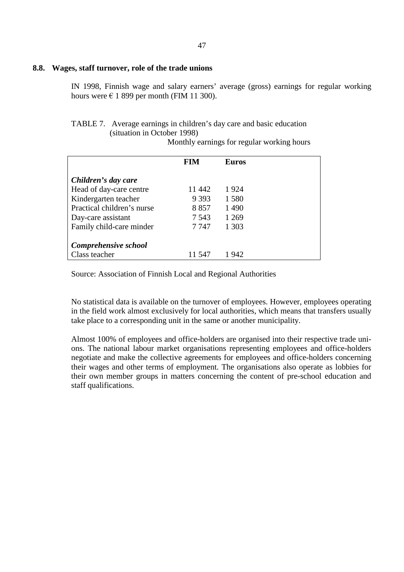#### **8.8. Wages, staff turnover, role of the trade unions**

IN 1998, Finnish wage and salary earners' average (gross) earnings for regular working hours were  $\in$  1 899 per month (FIM 11 300).

### TABLE 7. Average earnings in children's day care and basic education (situation in October 1998)

Monthly earnings for regular working hours

|                            | <b>FIM</b> | <b>Euros</b> |  |
|----------------------------|------------|--------------|--|
| Children's day care        |            |              |  |
| Head of day-care centre    | 11 442     | 1924         |  |
| Kindergarten teacher       | 9 3 9 3    | 1580         |  |
| Practical children's nurse | 8857       | 1490         |  |
| Day-care assistant         | 7 5 4 3    | 1 2 6 9      |  |
| Family child-care minder   | 7 747      | 1 303        |  |
| Comprehensive school       |            |              |  |
| Class teacher              | 11 547     | 1 942        |  |

Source: Association of Finnish Local and Regional Authorities

No statistical data is available on the turnover of employees. However, employees operating in the field work almost exclusively for local authorities, which means that transfers usually take place to a corresponding unit in the same or another municipality.

Almost 100% of employees and office-holders are organised into their respective trade unions. The national labour market organisations representing employees and office-holders negotiate and make the collective agreements for employees and office-holders concerning their wages and other terms of employment. The organisations also operate as lobbies for their own member groups in matters concerning the content of pre-school education and staff qualifications.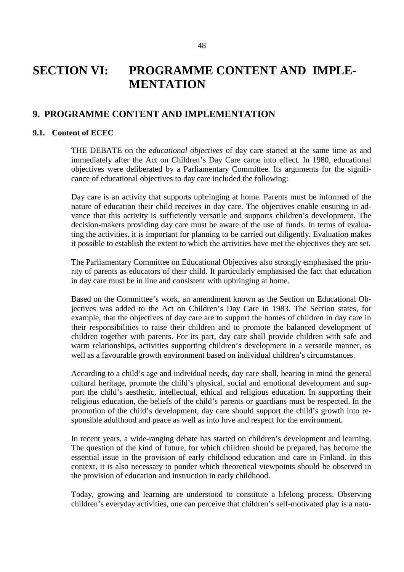## **SECTION VI: PROGRAMME CONTENT AND IMPLE-MENTATION**

### **9. PROGRAMME CONTENT AND IMPLEMENTATION**

#### **9.1. Content of ECEC**

THE DEBATE on the *educational objectives* of day care started at the same time as and immediately after the Act on Children's Day Care came into effect. In 1980, educational objectives were deliberated by a Parliamentary Committee. Its arguments for the significance of educational objectives to day care included the following:

Day care is an activity that supports upbringing at home. Parents must be informed of the nature of education their child receives in day care. The objectives enable ensuring in advance that this activity is sufficiently versatile and supports children's development. The decision-makers providing day care must be aware of the use of funds. In terms of evaluating the activities, it is important for planning to be carried out diligently. Evaluation makes it possible to establish the extent to which the activities have met the objectives they are set.

The Parliamentary Committee on Educational Objectives also strongly emphasised the priority of parents as educators of their child. It particularly emphasised the fact that education in day care must be in line and consistent with upbringing at home.

Based on the Committee's work, an amendment known as the Section on Educational Objectives was added to the Act on Children's Day Care in 1983. The Section states, for example, that the objectives of day care are to support the homes of children in day care in their responsibilities to raise their children and to promote the balanced development of children together with parents. For its part, day care shall provide children with safe and warm relationships, activities supporting children's development in a versatile manner, as well as a favourable growth environment based on individual children's circumstances.

According to a child's age and individual needs, day care shall, bearing in mind the general cultural heritage, promote the child's physical, social and emotional development and support the child's aesthetic, intellectual, ethical and religious education. In supporting their religious education, the beliefs of the child's parents or guardians must be respected. In the promotion of the child's development, day care should support the child's growth into responsible adulthood and peace as well as into love and respect for the environment.

In recent years, a wide-ranging debate has started on children's development and learning. The question of the kind of future, for which children should be prepared, has become the essential issue in the provision of early childhood education and care in Finland. In this context, it is also necessary to ponder which theoretical viewpoints should be observed in the provision of education and instruction in early childhood.

Today, growing and learning are understood to constitute a lifelong process. Observing children's everyday activities, one can perceive that children's self-motivated play is a natu-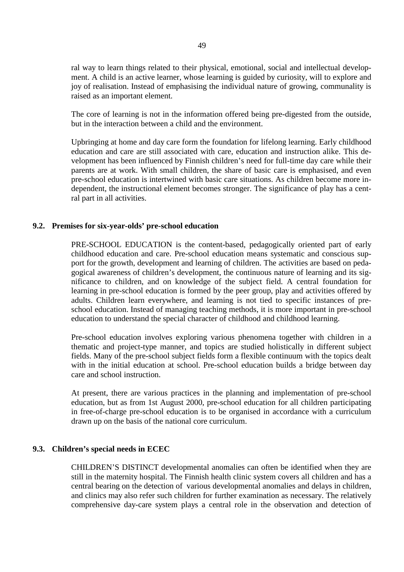ral way to learn things related to their physical, emotional, social and intellectual development. A child is an active learner, whose learning is guided by curiosity, will to explore and joy of realisation. Instead of emphasising the individual nature of growing, communality is raised as an important element.

The core of learning is not in the information offered being pre-digested from the outside, but in the interaction between a child and the environment.

Upbringing at home and day care form the foundation for lifelong learning. Early childhood education and care are still associated with care, education and instruction alike. This development has been influenced by Finnish children's need for full-time day care while their parents are at work. With small children, the share of basic care is emphasised, and even pre-school education is intertwined with basic care situations. As children become more independent, the instructional element becomes stronger. The significance of play has a central part in all activities.

#### **9.2. Premises for six-year-olds' pre-school education**

PRE-SCHOOL EDUCATION is the content-based, pedagogically oriented part of early childhood education and care. Pre-school education means systematic and conscious support for the growth, development and learning of children. The activities are based on pedagogical awareness of children's development, the continuous nature of learning and its significance to children, and on knowledge of the subject field. A central foundation for learning in pre-school education is formed by the peer group, play and activities offered by adults. Children learn everywhere, and learning is not tied to specific instances of preschool education. Instead of managing teaching methods, it is more important in pre-school education to understand the special character of childhood and childhood learning.

Pre-school education involves exploring various phenomena together with children in a thematic and project-type manner, and topics are studied holistically in different subject fields. Many of the pre-school subject fields form a flexible continuum with the topics dealt with in the initial education at school. Pre-school education builds a bridge between day care and school instruction.

At present, there are various practices in the planning and implementation of pre-school education, but as from 1st August 2000, pre-school education for all children participating in free-of-charge pre-school education is to be organised in accordance with a curriculum drawn up on the basis of the national core curriculum.

#### **9.3. Children's special needs in ECEC**

CHILDREN'S DISTINCT developmental anomalies can often be identified when they are still in the maternity hospital. The Finnish health clinic system covers all children and has a central bearing on the detection of various developmental anomalies and delays in children, and clinics may also refer such children for further examination as necessary. The relatively comprehensive day-care system plays a central role in the observation and detection of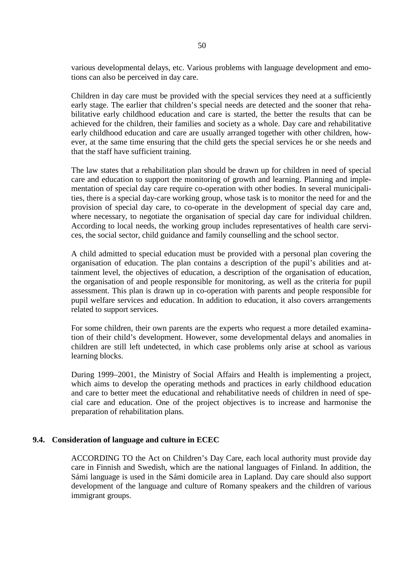various developmental delays, etc. Various problems with language development and emotions can also be perceived in day care.

Children in day care must be provided with the special services they need at a sufficiently early stage. The earlier that children's special needs are detected and the sooner that rehabilitative early childhood education and care is started, the better the results that can be achieved for the children, their families and society as a whole. Day care and rehabilitative early childhood education and care are usually arranged together with other children, however, at the same time ensuring that the child gets the special services he or she needs and that the staff have sufficient training.

The law states that a rehabilitation plan should be drawn up for children in need of special care and education to support the monitoring of growth and learning. Planning and implementation of special day care require co-operation with other bodies. In several municipalities, there is a special day-care working group, whose task is to monitor the need for and the provision of special day care, to co-operate in the development of special day care and, where necessary, to negotiate the organisation of special day care for individual children. According to local needs, the working group includes representatives of health care services, the social sector, child guidance and family counselling and the school sector.

A child admitted to special education must be provided with a personal plan covering the organisation of education. The plan contains a description of the pupil's abilities and attainment level, the objectives of education, a description of the organisation of education, the organisation of and people responsible for monitoring, as well as the criteria for pupil assessment. This plan is drawn up in co-operation with parents and people responsible for pupil welfare services and education. In addition to education, it also covers arrangements related to support services.

For some children, their own parents are the experts who request a more detailed examination of their child's development. However, some developmental delays and anomalies in children are still left undetected, in which case problems only arise at school as various learning blocks.

During 1999–2001, the Ministry of Social Affairs and Health is implementing a project, which aims to develop the operating methods and practices in early childhood education and care to better meet the educational and rehabilitative needs of children in need of special care and education. One of the project objectives is to increase and harmonise the preparation of rehabilitation plans.

#### **9.4. Consideration of language and culture in ECEC**

ACCORDING TO the Act on Children's Day Care, each local authority must provide day care in Finnish and Swedish, which are the national languages of Finland. In addition, the Sámi language is used in the Sámi domicile area in Lapland. Day care should also support development of the language and culture of Romany speakers and the children of various immigrant groups.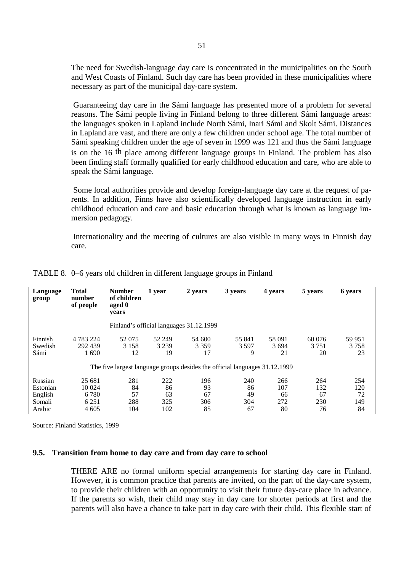The need for Swedish-language day care is concentrated in the municipalities on the South and West Coasts of Finland. Such day care has been provided in these municipalities where necessary as part of the municipal day-care system.

Guaranteeing day care in the Sámi language has presented more of a problem for several reasons. The Sámi people living in Finland belong to three different Sámi language areas: the languages spoken in Lapland include North Sámi, Inari Sámi and Skolt Sámi. Distances in Lapland are vast, and there are only a few children under school age. The total number of Sámi speaking children under the age of seven in 1999 was 121 and thus the Sámi language is on the 16 th place among different language groups in Finland. The problem has also been finding staff formally qualified for early childhood education and care, who are able to speak the Sámi language.

Some local authorities provide and develop foreign-language day care at the request of parents. In addition, Finns have also scientifically developed language instruction in early childhood education and care and basic education through what is known as language immersion pedagogy.

Internationality and the meeting of cultures are also visible in many ways in Finnish day care.

| Language<br>group           | <b>Total</b><br>number<br>of people | <b>Number</b><br>of children<br>aged 0<br>years | 1 year                  | 2 years                                 | 3 years                                                                    | 4 years              | 5 years                 | 6 years              |  |
|-----------------------------|-------------------------------------|-------------------------------------------------|-------------------------|-----------------------------------------|----------------------------------------------------------------------------|----------------------|-------------------------|----------------------|--|
|                             |                                     |                                                 |                         | Finland's official languages 31.12.1999 |                                                                            |                      |                         |                      |  |
| Finnish<br>Swedish<br>Sámi  | 4 783 224<br>292 439<br>1690        | 52 075<br>3 1 5 8<br>12                         | 52 249<br>3 2 3 9<br>19 | 54 600<br>3 3 5 9<br>17                 | 55 841<br>3 5 9 7<br>9                                                     | 58 091<br>3694<br>21 | 60 076<br>3 7 5 1<br>20 | 59 951<br>3758<br>23 |  |
|                             |                                     |                                                 |                         |                                         | The five largest language groups desides the official languages 31.12.1999 |                      |                         |                      |  |
| Russian<br>Estonian         | 25 681<br>10 0 24<br>6.780          | 281<br>84<br>57                                 | 222<br>86<br>63         | 196<br>93<br>67                         | 240<br>86<br>49                                                            | 266<br>107<br>66     | 264<br>132<br>67        | 254<br>120<br>72     |  |
| English<br>Somali<br>Arabic | 6 2 5 1<br>4 6 0 5                  | 288<br>104                                      | 325<br>102              | 306<br>85                               | 304<br>67                                                                  | 272<br>80            | 230<br>76               | 149<br>84            |  |

TABLE 8. 0–6 years old children in different language groups in Finland

Source: Finland Statistics, 1999

#### **9.5. Transition from home to day care and from day care to school**

THERE ARE no formal uniform special arrangements for starting day care in Finland. However, it is common practice that parents are invited, on the part of the day-care system, to provide their children with an opportunity to visit their future day-care place in advance. If the parents so wish, their child may stay in day care for shorter periods at first and the parents will also have a chance to take part in day care with their child. This flexible start of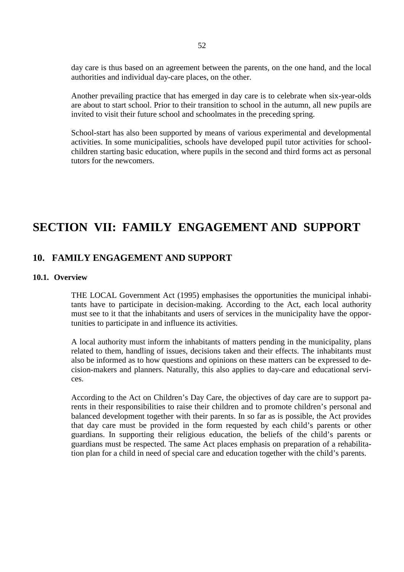day care is thus based on an agreement between the parents, on the one hand, and the local authorities and individual day-care places, on the other.

Another prevailing practice that has emerged in day care is to celebrate when six-year-olds are about to start school. Prior to their transition to school in the autumn, all new pupils are invited to visit their future school and schoolmates in the preceding spring.

School-start has also been supported by means of various experimental and developmental activities. In some municipalities, schools have developed pupil tutor activities for schoolchildren starting basic education, where pupils in the second and third forms act as personal tutors for the newcomers.

# **SECTION VII: FAMILY ENGAGEMENT AND SUPPORT**

### **10. FAMILY ENGAGEMENT AND SUPPORT**

#### **10.1. Overview**

THE LOCAL Government Act (1995) emphasises the opportunities the municipal inhabitants have to participate in decision-making. According to the Act, each local authority must see to it that the inhabitants and users of services in the municipality have the opportunities to participate in and influence its activities.

A local authority must inform the inhabitants of matters pending in the municipality, plans related to them, handling of issues, decisions taken and their effects. The inhabitants must also be informed as to how questions and opinions on these matters can be expressed to decision-makers and planners. Naturally, this also applies to day-care and educational services.

According to the Act on Children's Day Care, the objectives of day care are to support parents in their responsibilities to raise their children and to promote children's personal and balanced development together with their parents. In so far as is possible, the Act provides that day care must be provided in the form requested by each child's parents or other guardians. In supporting their religious education, the beliefs of the child's parents or guardians must be respected. The same Act places emphasis on preparation of a rehabilitation plan for a child in need of special care and education together with the child's parents.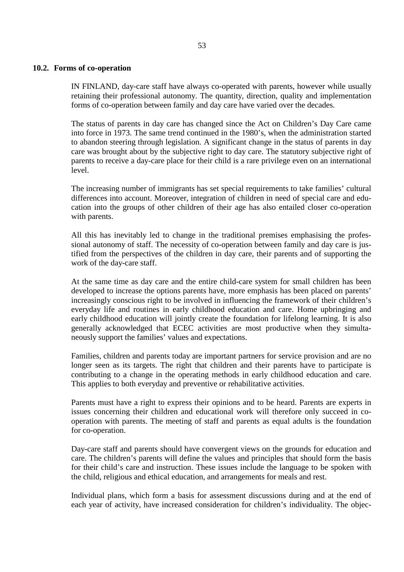#### **10.2. Forms of co-operation**

IN FINLAND, day-care staff have always co-operated with parents, however while usually retaining their professional autonomy. The quantity, direction, quality and implementation forms of co-operation between family and day care have varied over the decades.

The status of parents in day care has changed since the Act on Children's Day Care came into force in 1973. The same trend continued in the 1980's, when the administration started to abandon steering through legislation. A significant change in the status of parents in day care was brought about by the subjective right to day care. The statutory subjective right of parents to receive a day-care place for their child is a rare privilege even on an international level.

The increasing number of immigrants has set special requirements to take families' cultural differences into account. Moreover, integration of children in need of special care and education into the groups of other children of their age has also entailed closer co-operation with parents.

All this has inevitably led to change in the traditional premises emphasising the professional autonomy of staff. The necessity of co-operation between family and day care is justified from the perspectives of the children in day care, their parents and of supporting the work of the day-care staff.

At the same time as day care and the entire child-care system for small children has been developed to increase the options parents have, more emphasis has been placed on parents' increasingly conscious right to be involved in influencing the framework of their children's everyday life and routines in early childhood education and care. Home upbringing and early childhood education will jointly create the foundation for lifelong learning. It is also generally acknowledged that ECEC activities are most productive when they simultaneously support the families' values and expectations.

Families, children and parents today are important partners for service provision and are no longer seen as its targets. The right that children and their parents have to participate is contributing to a change in the operating methods in early childhood education and care. This applies to both everyday and preventive or rehabilitative activities.

Parents must have a right to express their opinions and to be heard. Parents are experts in issues concerning their children and educational work will therefore only succeed in cooperation with parents. The meeting of staff and parents as equal adults is the foundation for co-operation.

Day-care staff and parents should have convergent views on the grounds for education and care. The children's parents will define the values and principles that should form the basis for their child's care and instruction. These issues include the language to be spoken with the child, religious and ethical education, and arrangements for meals and rest.

Individual plans, which form a basis for assessment discussions during and at the end of each year of activity, have increased consideration for children's individuality. The objec-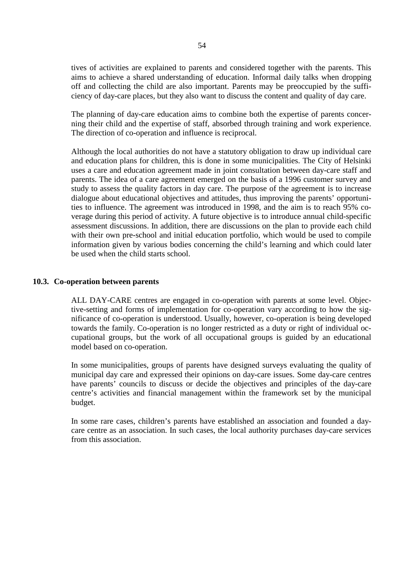tives of activities are explained to parents and considered together with the parents. This aims to achieve a shared understanding of education. Informal daily talks when dropping off and collecting the child are also important. Parents may be preoccupied by the sufficiency of day-care places, but they also want to discuss the content and quality of day care.

The planning of day-care education aims to combine both the expertise of parents concerning their child and the expertise of staff, absorbed through training and work experience. The direction of co-operation and influence is reciprocal.

Although the local authorities do not have a statutory obligation to draw up individual care and education plans for children, this is done in some municipalities. The City of Helsinki uses a care and education agreement made in joint consultation between day-care staff and parents. The idea of a care agreement emerged on the basis of a 1996 customer survey and study to assess the quality factors in day care. The purpose of the agreement is to increase dialogue about educational objectives and attitudes, thus improving the parents' opportunities to influence. The agreement was introduced in 1998, and the aim is to reach 95% coverage during this period of activity. A future objective is to introduce annual child-specific assessment discussions. In addition, there are discussions on the plan to provide each child with their own pre-school and initial education portfolio, which would be used to compile information given by various bodies concerning the child's learning and which could later be used when the child starts school.

#### **10.3. Co-operation between parents**

ALL DAY-CARE centres are engaged in co-operation with parents at some level. Objective-setting and forms of implementation for co-operation vary according to how the significance of co-operation is understood. Usually, however, co-operation is being developed towards the family. Co-operation is no longer restricted as a duty or right of individual occupational groups, but the work of all occupational groups is guided by an educational model based on co-operation.

In some municipalities, groups of parents have designed surveys evaluating the quality of municipal day care and expressed their opinions on day-care issues. Some day-care centres have parents' councils to discuss or decide the objectives and principles of the day-care centre's activities and financial management within the framework set by the municipal budget.

In some rare cases, children's parents have established an association and founded a daycare centre as an association. In such cases, the local authority purchases day-care services from this association.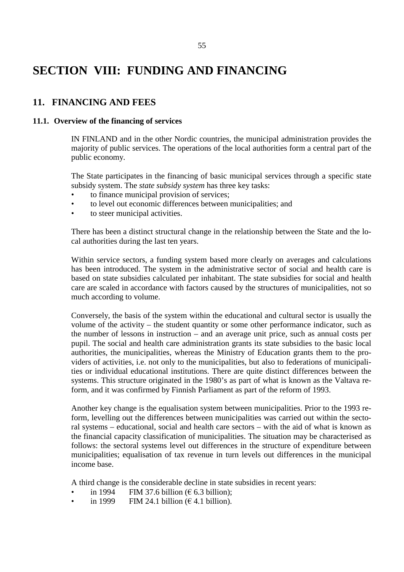# **SECTION VIII: FUNDING AND FINANCING**

## **11. FINANCING AND FEES**

#### **11.1. Overview of the financing of services**

IN FINLAND and in the other Nordic countries, the municipal administration provides the majority of public services. The operations of the local authorities form a central part of the public economy.

The State participates in the financing of basic municipal services through a specific state subsidy system. The *state subsidy system* has three key tasks:

- to finance municipal provision of services;
- to level out economic differences between municipalities; and
- to steer municipal activities.

There has been a distinct structural change in the relationship between the State and the local authorities during the last ten years.

Within service sectors, a funding system based more clearly on averages and calculations has been introduced. The system in the administrative sector of social and health care is based on state subsidies calculated per inhabitant. The state subsidies for social and health care are scaled in accordance with factors caused by the structures of municipalities, not so much according to volume.

Conversely, the basis of the system within the educational and cultural sector is usually the volume of the activity – the student quantity or some other performance indicator, such as the number of lessons in instruction – and an average unit price, such as annual costs per pupil. The social and health care administration grants its state subsidies to the basic local authorities, the municipalities, whereas the Ministry of Education grants them to the providers of activities, i.e. not only to the municipalities, but also to federations of municipalities or individual educational institutions. There are quite distinct differences between the systems. This structure originated in the 1980's as part of what is known as the Valtava reform, and it was confirmed by Finnish Parliament as part of the reform of 1993.

Another key change is the equalisation system between municipalities. Prior to the 1993 reform, levelling out the differences between municipalities was carried out within the sectoral systems – educational, social and health care sectors – with the aid of what is known as the financial capacity classification of municipalities. The situation may be characterised as follows: the sectoral systems level out differences in the structure of expenditure between municipalities; equalisation of tax revenue in turn levels out differences in the municipal income base.

A third change is the considerable decline in state subsidies in recent years:

- in 1994 FIM 37.6 billion ( $\epsilon$  6.3 billion);
- in 1999 FIM 24.1 billion  $(\epsilon 4.1$  billion).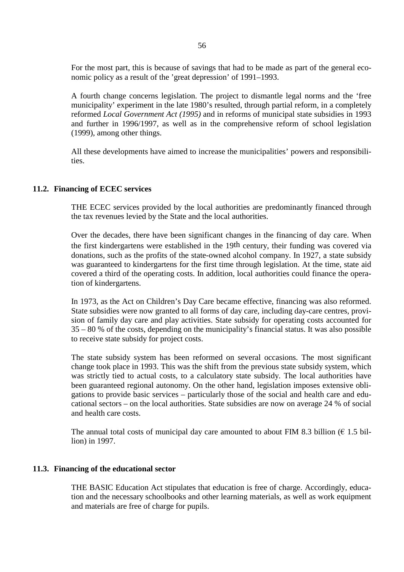For the most part, this is because of savings that had to be made as part of the general economic policy as a result of the 'great depression' of 1991–1993.

A fourth change concerns legislation. The project to dismantle legal norms and the 'free municipality' experiment in the late 1980's resulted, through partial reform, in a completely reformed *Local Government Act (1995)* and in reforms of municipal state subsidies in 1993 and further in 1996/1997, as well as in the comprehensive reform of school legislation (1999), among other things.

All these developments have aimed to increase the municipalities' powers and responsibilities.

#### **11.2. Financing of ECEC services**

THE ECEC services provided by the local authorities are predominantly financed through the tax revenues levied by the State and the local authorities.

Over the decades, there have been significant changes in the financing of day care. When the first kindergartens were established in the 19th century, their funding was covered via donations, such as the profits of the state-owned alcohol company. In 1927, a state subsidy was guaranteed to kindergartens for the first time through legislation. At the time, state aid covered a third of the operating costs. In addition, local authorities could finance the operation of kindergartens.

In 1973, as the Act on Children's Day Care became effective, financing was also reformed. State subsidies were now granted to all forms of day care, including day-care centres, provision of family day care and play activities. State subsidy for operating costs accounted for 35 – 80 % of the costs, depending on the municipality's financial status. It was also possible to receive state subsidy for project costs.

The state subsidy system has been reformed on several occasions. The most significant change took place in 1993. This was the shift from the previous state subsidy system, which was strictly tied to actual costs, to a calculatory state subsidy. The local authorities have been guaranteed regional autonomy. On the other hand, legislation imposes extensive obligations to provide basic services – particularly those of the social and health care and educational sectors – on the local authorities. State subsidies are now on average 24 % of social and health care costs.

The annual total costs of municipal day care amounted to about FIM 8.3 billion ( $\epsilon$  1.5 billion) in 1997.

#### **11.3. Financing of the educational sector**

THE BASIC Education Act stipulates that education is free of charge. Accordingly, education and the necessary schoolbooks and other learning materials, as well as work equipment and materials are free of charge for pupils.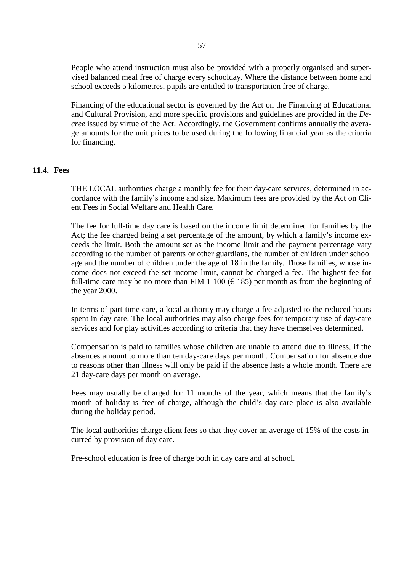People who attend instruction must also be provided with a properly organised and supervised balanced meal free of charge every schoolday. Where the distance between home and school exceeds 5 kilometres, pupils are entitled to transportation free of charge.

Financing of the educational sector is governed by the Act on the Financing of Educational and Cultural Provision, and more specific provisions and guidelines are provided in the *Decree* issued by virtue of the Act. Accordingly, the Government confirms annually the average amounts for the unit prices to be used during the following financial year as the criteria for financing.

#### **11.4. Fees**

THE LOCAL authorities charge a monthly fee for their day-care services, determined in accordance with the family's income and size. Maximum fees are provided by the Act on Client Fees in Social Welfare and Health Care.

The fee for full-time day care is based on the income limit determined for families by the Act; the fee charged being a set percentage of the amount, by which a family's income exceeds the limit. Both the amount set as the income limit and the payment percentage vary according to the number of parents or other guardians, the number of children under school age and the number of children under the age of 18 in the family. Those families, whose income does not exceed the set income limit, cannot be charged a fee. The highest fee for full-time care may be no more than FIM 1 100 ( $\epsilon$  185) per month as from the beginning of the year 2000.

In terms of part-time care, a local authority may charge a fee adjusted to the reduced hours spent in day care. The local authorities may also charge fees for temporary use of day-care services and for play activities according to criteria that they have themselves determined.

Compensation is paid to families whose children are unable to attend due to illness, if the absences amount to more than ten day-care days per month. Compensation for absence due to reasons other than illness will only be paid if the absence lasts a whole month. There are 21 day-care days per month on average.

Fees may usually be charged for 11 months of the year, which means that the family's month of holiday is free of charge, although the child's day-care place is also available during the holiday period.

The local authorities charge client fees so that they cover an average of 15% of the costs incurred by provision of day care.

Pre-school education is free of charge both in day care and at school.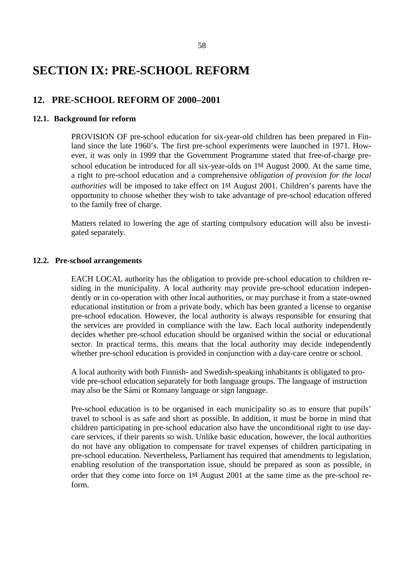## **SECTION IX: PRE-SCHOOL REFORM**

### **12. PRE-SCHOOL REFORM OF 2000–2001**

#### **12.1. Background for reform**

PROVISION OF pre-school education for six-year-old children has been prepared in Finland since the late 1960's. The first pre-school experiments were launched in 1971. However, it was only in 1999 that the Government Programme stated that free-of-charge preschool education be introduced for all six-year-olds on 1st August 2000. At the same time, a right to pre-school education and a comprehensive *obligation of provision for the local authorities* will be imposed to take effect on 1st August 2001. Children's parents have the opportunity to choose whether they wish to take advantage of pre-school education offered to the family free of charge.

Matters related to lowering the age of starting compulsory education will also be investigated separately.

#### **12.2. Pre-school arrangements**

EACH LOCAL authority has the obligation to provide pre-school education to children residing in the municipality. A local authority may provide pre-school education independently or in co-operation with other local authorities, or may purchase it from a state-owned educational institution or from a private body, which has been granted a license to organise pre-school education. However, the local authority is always responsible for ensuring that the services are provided in compliance with the law. Each local authority independently decides whether pre-school education should be organised within the social or educational sector. In practical terms, this means that the local authority may decide independently whether pre-school education is provided in conjunction with a day-care centre or school.

A local authority with both Finnish- and Swedish-speaking inhabitants is obligated to provide pre-school education separately for both language groups. The language of instruction may also be the Sámi or Romany language or sign language.

Pre-school education is to be organised in each municipality so as to ensure that pupils' travel to school is as safe and short as possible. In addition, it must be borne in mind that children participating in pre-school education also have the unconditional right to use daycare services, if their parents so wish. Unlike basic education, however, the local authorities do not have any obligation to compensate for travel expenses of children participating in pre-school education. Nevertheless, Parliament has required that amendments to legislation, enabling resolution of the transportation issue, should be prepared as soon as possible, in order that they come into force on 1st August 2001 at the same time as the pre-school reform.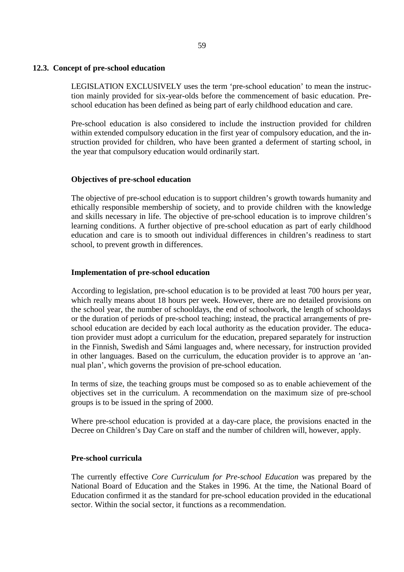#### **12.3. Concept of pre-school education**

LEGISLATION EXCLUSIVELY uses the term 'pre-school education' to mean the instruction mainly provided for six-year-olds before the commencement of basic education. Preschool education has been defined as being part of early childhood education and care.

Pre-school education is also considered to include the instruction provided for children within extended compulsory education in the first year of compulsory education, and the instruction provided for children, who have been granted a deferment of starting school, in the year that compulsory education would ordinarily start.

#### **Objectives of pre-school education**

The objective of pre-school education is to support children's growth towards humanity and ethically responsible membership of society, and to provide children with the knowledge and skills necessary in life. The objective of pre-school education is to improve children's learning conditions. A further objective of pre-school education as part of early childhood education and care is to smooth out individual differences in children's readiness to start school, to prevent growth in differences.

#### **Implementation of pre-school education**

According to legislation, pre-school education is to be provided at least 700 hours per year, which really means about 18 hours per week. However, there are no detailed provisions on the school year, the number of schooldays, the end of schoolwork, the length of schooldays or the duration of periods of pre-school teaching; instead, the practical arrangements of preschool education are decided by each local authority as the education provider. The education provider must adopt a curriculum for the education, prepared separately for instruction in the Finnish, Swedish and Sámi languages and, where necessary, for instruction provided in other languages. Based on the curriculum, the education provider is to approve an 'annual plan', which governs the provision of pre-school education.

In terms of size, the teaching groups must be composed so as to enable achievement of the objectives set in the curriculum. A recommendation on the maximum size of pre-school groups is to be issued in the spring of 2000.

Where pre-school education is provided at a day-care place, the provisions enacted in the Decree on Children's Day Care on staff and the number of children will, however, apply.

#### **Pre-school curricula**

The currently effective *Core Curriculum for Pre-school Education* was prepared by the National Board of Education and the Stakes in 1996. At the time, the National Board of Education confirmed it as the standard for pre-school education provided in the educational sector. Within the social sector, it functions as a recommendation.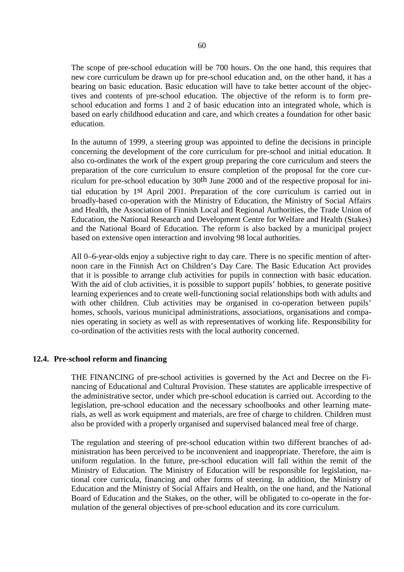The scope of pre-school education will be 700 hours. On the one hand, this requires that new core curriculum be drawn up for pre-school education and, on the other hand, it has a bearing on basic education. Basic education will have to take better account of the objectives and contents of pre-school education. The objective of the reform is to form preschool education and forms 1 and 2 of basic education into an integrated whole, which is based on early childhood education and care, and which creates a foundation for other basic education.

In the autumn of 1999, a steering group was appointed to define the decisions in principle concerning the development of the core curriculum for pre-school and initial education. It also co-ordinates the work of the expert group preparing the core curriculum and steers the preparation of the core curriculum to ensure completion of the proposal for the core curriculum for pre-school education by 30th June 2000 and of the respective proposal for initial education by 1st April 2001. Preparation of the core curriculum is carried out in broadly-based co-operation with the Ministry of Education, the Ministry of Social Affairs and Health, the Association of Finnish Local and Regional Authorities, the Trade Union of Education, the National Research and Development Centre for Welfare and Health (Stakes) and the National Board of Education. The reform is also backed by a municipal project based on extensive open interaction and involving 98 local authorities.

All 0–6-year-olds enjoy a subjective right to day care. There is no specific mention of afternoon care in the Finnish Act on Children's Day Care. The Basic Education Act provides that it is possible to arrange club activities for pupils in connection with basic education. With the aid of club activities, it is possible to support pupils' hobbies, to generate positive learning experiences and to create well-functioning social relationships both with adults and with other children. Club activities may be organised in co-operation between pupils' homes, schools, various municipal administrations, associations, organisations and companies operating in society as well as with representatives of working life. Responsibility for co-ordination of the activities rests with the local authority concerned.

#### **12.4. Pre-school reform and financing**

THE FINANCING of pre-school activities is governed by the Act and Decree on the Financing of Educational and Cultural Provision. These statutes are applicable irrespective of the administrative sector, under which pre-school education is carried out. According to the legislation, pre-school education and the necessary schoolbooks and other learning materials, as well as work equipment and materials, are free of charge to children. Children must also be provided with a properly organised and supervised balanced meal free of charge.

The regulation and steering of pre-school education within two different branches of administration has been perceived to be inconvenient and inappropriate. Therefore, the aim is uniform regulation. In the future, pre-school education will fall within the remit of the Ministry of Education. The Ministry of Education will be responsible for legislation, national core curricula, financing and other forms of steering. In addition, the Ministry of Education and the Ministry of Social Affairs and Health, on the one hand, and the National Board of Education and the Stakes, on the other, will be obligated to co-operate in the formulation of the general objectives of pre-school education and its core curriculum.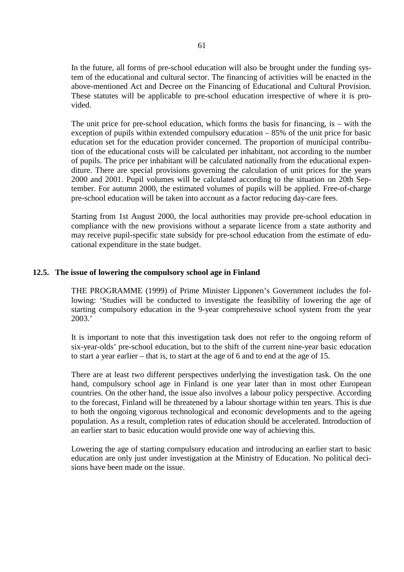In the future, all forms of pre-school education will also be brought under the funding system of the educational and cultural sector. The financing of activities will be enacted in the above-mentioned Act and Decree on the Financing of Educational and Cultural Provision. These statutes will be applicable to pre-school education irrespective of where it is provided.

The unit price for pre-school education, which forms the basis for financing, is – with the exception of pupils within extended compulsory education – 85% of the unit price for basic education set for the education provider concerned. The proportion of municipal contribution of the educational costs will be calculated per inhabitant, not according to the number of pupils. The price per inhabitant will be calculated nationally from the educational expenditure. There are special provisions governing the calculation of unit prices for the years 2000 and 2001. Pupil volumes will be calculated according to the situation on 20th September. For autumn 2000, the estimated volumes of pupils will be applied. Free-of-charge pre-school education will be taken into account as a factor reducing day-care fees.

Starting from 1st August 2000, the local authorities may provide pre-school education in compliance with the new provisions without a separate licence from a state authority and may receive pupil-specific state subsidy for pre-school education from the estimate of educational expenditure in the state budget.

#### **12.5. The issue of lowering the compulsory school age in Finland**

THE PROGRAMME (1999) of Prime Minister Lipponen's Government includes the following: 'Studies will be conducted to investigate the feasibility of lowering the age of starting compulsory education in the 9-year comprehensive school system from the year 2003.'

It is important to note that this investigation task does not refer to the ongoing reform of six-year-olds' pre-school education, but to the shift of the current nine-year basic education to start a year earlier – that is, to start at the age of 6 and to end at the age of 15.

There are at least two different perspectives underlying the investigation task. On the one hand, compulsory school age in Finland is one year later than in most other European countries. On the other hand, the issue also involves a labour policy perspective. According to the forecast, Finland will be threatened by a labour shortage within ten years. This is due to both the ongoing vigorous technological and economic developments and to the ageing population. As a result, completion rates of education should be accelerated. Introduction of an earlier start to basic education would provide one way of achieving this.

Lowering the age of starting compulsory education and introducing an earlier start to basic education are only just under investigation at the Ministry of Education. No political decisions have been made on the issue.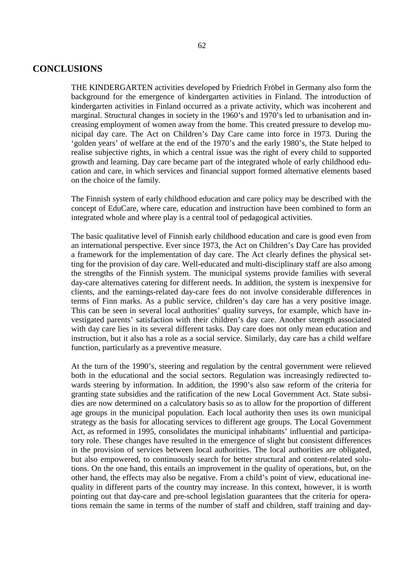### **CONCLUSIONS**

THE KINDERGARTEN activities developed by Friedrich Fröbel in Germany also form the background for the emergence of kindergarten activities in Finland. The introduction of kindergarten activities in Finland occurred as a private activity, which was incoherent and marginal. Structural changes in society in the 1960's and 1970's led to urbanisation and increasing employment of women away from the home. This created pressure to develop municipal day care. The Act on Children's Day Care came into force in 1973. During the 'golden years' of welfare at the end of the 1970's and the early 1980's, the State helped to realise subjective rights, in which a central issue was the right of every child to supported growth and learning. Day care became part of the integrated whole of early childhood education and care, in which services and financial support formed alternative elements based on the choice of the family.

The Finnish system of early childhood education and care policy may be described with the concept of EduCare, where care, education and instruction have been combined to form an integrated whole and where play is a central tool of pedagogical activities.

The basic qualitative level of Finnish early childhood education and care is good even from an international perspective. Ever since 1973, the Act on Children's Day Care has provided a framework for the implementation of day care. The Act clearly defines the physical setting for the provision of day care. Well-educated and multi-disciplinary staff are also among the strengths of the Finnish system. The municipal systems provide families with several day-care alternatives catering for different needs. In addition, the system is inexpensive for clients, and the earnings-related day-care fees do not involve considerable differences in terms of Finn marks. As a public service, children's day care has a very positive image. This can be seen in several local authorities' quality surveys, for example, which have investigated parents' satisfaction with their children's day care. Another strength associated with day care lies in its several different tasks. Day care does not only mean education and instruction, but it also has a role as a social service. Similarly, day care has a child welfare function, particularly as a preventive measure.

At the turn of the 1990's, steering and regulation by the central government were relieved both in the educational and the social sectors. Regulation was increasingly redirected towards steering by information. In addition, the 1990's also saw reform of the criteria for granting state subsidies and the ratification of the new Local Government Act. State subsidies are now determined on a calculatory basis so as to allow for the proportion of different age groups in the municipal population. Each local authority then uses its own municipal strategy as the basis for allocating services to different age groups. The Local Government Act, as reformed in 1995, consolidates the municipal inhabitants' influential and participatory role. These changes have resulted in the emergence of slight but consistent differences in the provision of services between local authorities. The local authorities are obligated, but also empowered, to continuously search for better structural and content-related solutions. On the one hand, this entails an improvement in the quality of operations, but, on the other hand, the effects may also be negative. From a child's point of view, educational inequality in different parts of the country may increase. In this context, however, it is worth pointing out that day-care and pre-school legislation guarantees that the criteria for operations remain the same in terms of the number of staff and children, staff training and day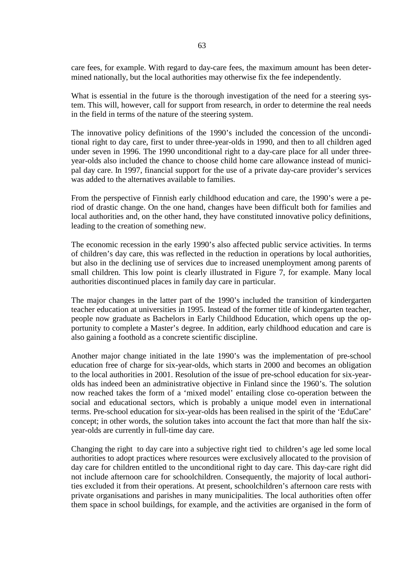care fees, for example. With regard to day-care fees, the maximum amount has been determined nationally, but the local authorities may otherwise fix the fee independently.

What is essential in the future is the thorough investigation of the need for a steering system. This will, however, call for support from research, in order to determine the real needs in the field in terms of the nature of the steering system.

The innovative policy definitions of the 1990's included the concession of the unconditional right to day care, first to under three-year-olds in 1990, and then to all children aged under seven in 1996. The 1990 unconditional right to a day-care place for all under threeyear-olds also included the chance to choose child home care allowance instead of municipal day care. In 1997, financial support for the use of a private day-care provider's services was added to the alternatives available to families.

From the perspective of Finnish early childhood education and care, the 1990's were a period of drastic change. On the one hand, changes have been difficult both for families and local authorities and, on the other hand, they have constituted innovative policy definitions, leading to the creation of something new.

The economic recession in the early 1990's also affected public service activities. In terms of children's day care, this was reflected in the reduction in operations by local authorities, but also in the declining use of services due to increased unemployment among parents of small children. This low point is clearly illustrated in Figure 7, for example. Many local authorities discontinued places in family day care in particular.

The major changes in the latter part of the 1990's included the transition of kindergarten teacher education at universities in 1995. Instead of the former title of kindergarten teacher, people now graduate as Bachelors in Early Childhood Education, which opens up the opportunity to complete a Master's degree. In addition, early childhood education and care is also gaining a foothold as a concrete scientific discipline.

Another major change initiated in the late 1990's was the implementation of pre-school education free of charge for six-year-olds, which starts in 2000 and becomes an obligation to the local authorities in 2001. Resolution of the issue of pre-school education for six-yearolds has indeed been an administrative objective in Finland since the 1960's. The solution now reached takes the form of a 'mixed model' entailing close co-operation between the social and educational sectors, which is probably a unique model even in international terms. Pre-school education for six-year-olds has been realised in the spirit of the 'EduCare' concept; in other words, the solution takes into account the fact that more than half the sixyear-olds are currently in full-time day care.

Changing the right to day care into a subjective right tied to children's age led some local authorities to adopt practices where resources were exclusively allocated to the provision of day care for children entitled to the unconditional right to day care. This day-care right did not include afternoon care for schoolchildren. Consequently, the majority of local authorities excluded it from their operations. At present, schoolchildren's afternoon care rests with private organisations and parishes in many municipalities. The local authorities often offer them space in school buildings, for example, and the activities are organised in the form of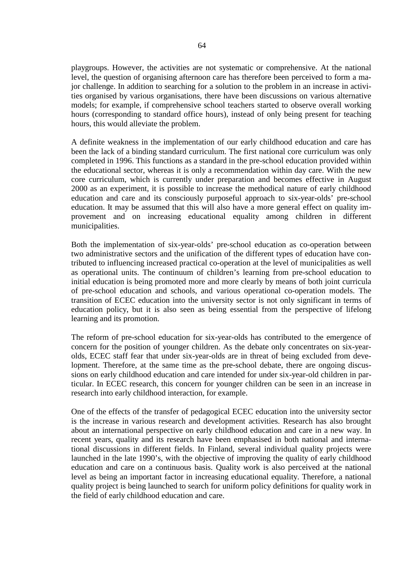playgroups. However, the activities are not systematic or comprehensive. At the national level, the question of organising afternoon care has therefore been perceived to form a major challenge. In addition to searching for a solution to the problem in an increase in activities organised by various organisations, there have been discussions on various alternative models; for example, if comprehensive school teachers started to observe overall working hours (corresponding to standard office hours), instead of only being present for teaching hours, this would alleviate the problem.

A definite weakness in the implementation of our early childhood education and care has been the lack of a binding standard curriculum. The first national core curriculum was only completed in 1996. This functions as a standard in the pre-school education provided within the educational sector, whereas it is only a recommendation within day care. With the new core curriculum, which is currently under preparation and becomes effective in August 2000 as an experiment, it is possible to increase the methodical nature of early childhood education and care and its consciously purposeful approach to six-year-olds' pre-school education. It may be assumed that this will also have a more general effect on quality improvement and on increasing educational equality among children in different municipalities.

Both the implementation of six-year-olds' pre-school education as co-operation between two administrative sectors and the unification of the different types of education have contributed to influencing increased practical co-operation at the level of municipalities as well as operational units. The continuum of children's learning from pre-school education to initial education is being promoted more and more clearly by means of both joint curricula of pre-school education and schools, and various operational co-operation models. The transition of ECEC education into the university sector is not only significant in terms of education policy, but it is also seen as being essential from the perspective of lifelong learning and its promotion.

The reform of pre-school education for six-year-olds has contributed to the emergence of concern for the position of younger children. As the debate only concentrates on six-yearolds, ECEC staff fear that under six-year-olds are in threat of being excluded from development. Therefore, at the same time as the pre-school debate, there are ongoing discussions on early childhood education and care intended for under six-year-old children in particular. In ECEC research, this concern for younger children can be seen in an increase in research into early childhood interaction, for example.

One of the effects of the transfer of pedagogical ECEC education into the university sector is the increase in various research and development activities. Research has also brought about an international perspective on early childhood education and care in a new way. In recent years, quality and its research have been emphasised in both national and international discussions in different fields. In Finland, several individual quality projects were launched in the late 1990's, with the objective of improving the quality of early childhood education and care on a continuous basis. Quality work is also perceived at the national level as being an important factor in increasing educational equality. Therefore, a national quality project is being launched to search for uniform policy definitions for quality work in the field of early childhood education and care.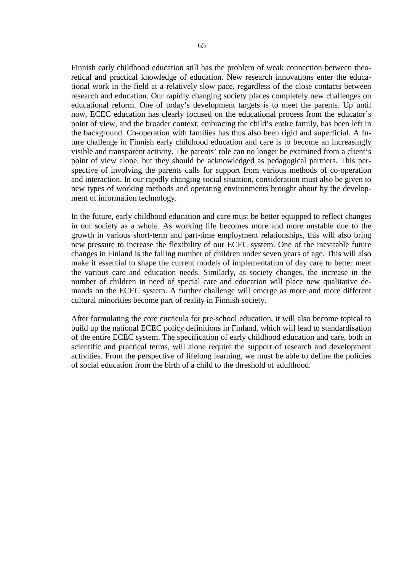Finnish early childhood education still has the problem of weak connection between theoretical and practical knowledge of education. New research innovations enter the educational work in the field at a relatively slow pace, regardless of the close contacts between research and education. Our rapidly changing society places completely new challenges on educational reform. One of today's development targets is to meet the parents. Up until now, ECEC education has clearly focused on the educational process from the educator's point of view, and the broader context, embracing the child's entire family, has been left in the background. Co-operation with families has thus also been rigid and superficial. A future challenge in Finnish early childhood education and care is to become an increasingly visible and transparent activity. The parents' role can no longer be examined from a client's point of view alone, but they should be acknowledged as pedagogical partners. This perspective of involving the parents calls for support from various methods of co-operation and interaction. In our rapidly changing social situation, consideration must also be given to new types of working methods and operating environments brought about by the development of information technology.

In the future, early childhood education and care must be better equipped to reflect changes in our society as a whole. As working life becomes more and more unstable due to the growth in various short-term and part-time employment relationships, this will also bring new pressure to increase the flexibility of our ECEC system. One of the inevitable future changes in Finland is the falling number of children under seven years of age. This will also make it essential to shape the current models of implementation of day care to better meet the various care and education needs. Similarly, as society changes, the increase in the number of children in need of special care and education will place new qualitative demands on the ECEC system. A further challenge will emerge as more and more different cultural minorities become part of reality in Finnish society.

After formulating the core curricula for pre-school education, it will also become topical to build up the national ECEC policy definitions in Finland, which will lead to standardisation of the entire ECEC system. The specification of early childhood education and care, both in scientific and practical terms, will alone require the support of research and development activities. From the perspective of lifelong learning, we must be able to define the policies of social education from the birth of a child to the threshold of adulthood.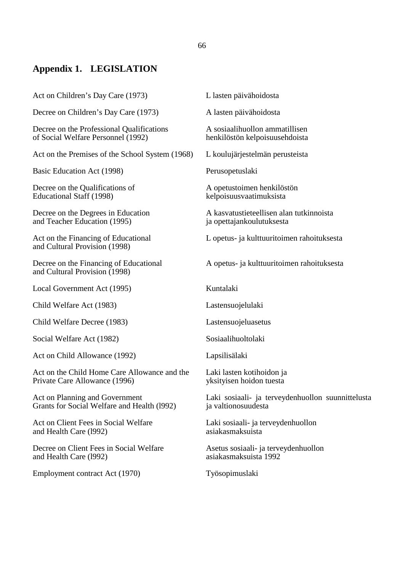## **Appendix 1. LEGISLATION**

Act on Children's Day Care (1973) L lasten päivähoidosta

Decree on Children's Day Care (1973) A lasten päivähoidosta

Decree on the Professional Qualifications <br>  $\alpha$  A sosiaalihuollon ammatillisen<br>  $\alpha$  A sosiaalihuollon ammatillisen<br>  $\alpha$  henkilöstön kelpoisuusehdoista of Social Welfare Personnel (1992)

Act on the Premises of the School System (1968) L koulujärjestelmän perusteista

Basic Education Act (1998) Perusopetuslaki

Decree on the Qualifications of A opetustoimen henkilöstön Educational Staff (1998) kelpoisuusvaatimuksista

and Teacher Education (1995) ja opettajankoulutuksesta

and Cultural Provision (1998)

and Cultural Provision (1998)

Local Government Act (1995) Kuntalaki

Child Welfare Act (1983) Lastensuojelulaki

Child Welfare Decree (1983) Lastensuojeluasetus

Social Welfare Act (1982) Sosiaalihuoltolaki

Act on Child Allowance (1992) Lapsilisälaki

Act on the Child Home Care Allowance and the Laki lasten kotihoidon ja Private Care Allowance (1996) yksityisen hoidon tuesta

Grants for Social Welfare and Health (1992) ja valtionosuudesta

Act on Client Fees in Social Welfare Laki sosiaali- ja terveydenhuollon and Health Care (1992) asiakasmaksuista and Health Care (1992)

Decree on Client Fees in Social Welfare Asetus sosiaali- ja terveydenhuollon and Health Care (1992)  $\qquad \qquad \qquad \qquad$ asiakasmaksuista 1992 and Health Care (1992)

Employment contract Act (1970) Työsopimuslaki

Decree on the Degrees in Education A kasvatustieteellisen alan tutkinnoista

Act on the Financing of Educational L opetus- ja kulttuuritoimen rahoituksesta

Decree on the Financing of Educational A opetus- ja kulttuuritoimen rahoituksesta

Act on Planning and Government Laki sosiaali- ja terveydenhuollon suunnittelusta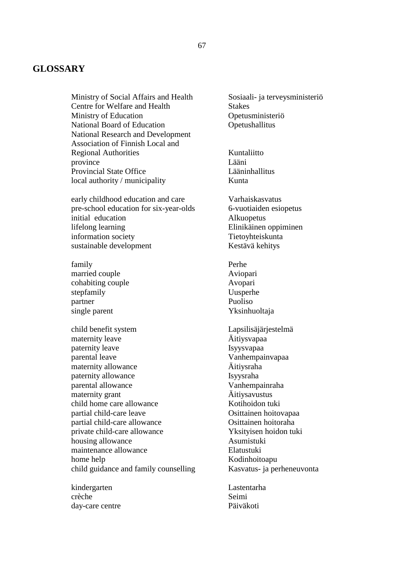## **GLOSSARY**

Ministry of Social Affairs and Health Sosiaali- ja terveysministeriö Centre for Welfare and Health Stakes Ministry of Education **Operation** Operation **Operation** National Board of Education **Operation** Operation National Research and Development Association of Finnish Local and Regional Authorities Kuntaliitto province Lääni Provincial State Office Lääninhallitus local authority / municipality Kunta

early childhood education and care Varhaiskasvatus pre-school education for six-year-olds 6-vuotiaiden esiopetus initial education Alkuopetus lifelong learning Elinikäinen oppiminen information society Tietoyhteiskunta sustainable development Kestävä kehitys

family Perhe married couple Aviopari cohabiting couple Avopari stepfamily Uusperhe<br>
partner Puoliso partner single parent Yksinhuoltaja

child benefit system Lapsilisäjärjestelmä maternity leave Äitiysvapaa paternity leave Isyysvapaa parental leave Vanhempainvapaa maternity allowance <br>  $\ddot{A}$ itiysraha<br>
Isyysraha paternity allowance parental allowance Vanhempainraha maternity grant  $\ddot{A}$ itiysavustus child home care allowance Kotihoidon tuki partial child-care leave Osittainen hoitovapaa partial child-care allowance Osittainen hoitoraha private child-care allowance Yksityisen hoidon tuki housing allowance Asumistuki maintenance allowance Elatustuki home help Kodinhoitoapu child guidance and family counselling Kasvatus- ja perheneuvonta

kindergarten Lastentarha crèche Seimi day-care centre Päiväkoti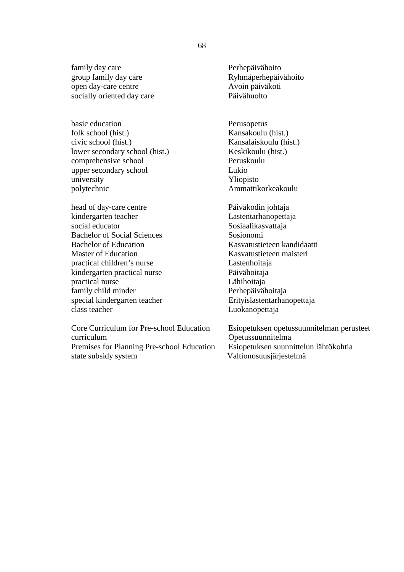family day care Perhepäivähoito group family day care Ryhmäperhepäivähoito open day-care centre Avoin päiväkoti socially oriented day care Päivähuolto

basic education **Perusopetus** folk school (hist.) Kansakoulu (hist.) civic school (hist.) Kansalaiskoulu (hist.) lower secondary school (hist.) Keskikoulu (hist.) comprehensive school Peruskoulu upper secondary school Lukio university Yliopisto polytechnic Ammattikorkeakoulu

head of day-care centre Päiväkodin johtaja kindergarten teacher Lastentarhanopettaja social educator Sosiaalikasvattaja Bachelor of Social Sciences Sosionomi Bachelor of Education Kasvatustieteen kandidaatti Master of Education **Kasvatustieteen** maisteri practical children's nurse Lastenhoitaja kindergarten practical nurse Päivähoitaja practical nurse Lähihoitaja family child minder Perhepäivähoitaja special kindergarten teacher Erityislastentarhanopettaja<br>
Erityislastentarhanopettaja<br>
Inokanopettaja<br>
Inokanopettaja

Core Curriculum for Pre-school Education Esiopetuksen opetussuunnitelman perusteet curriculum Opetussuunnitelma Premises for Planning Pre-school Education state subsidy system Valtionosuusjärjestelmä

Luokanopettaja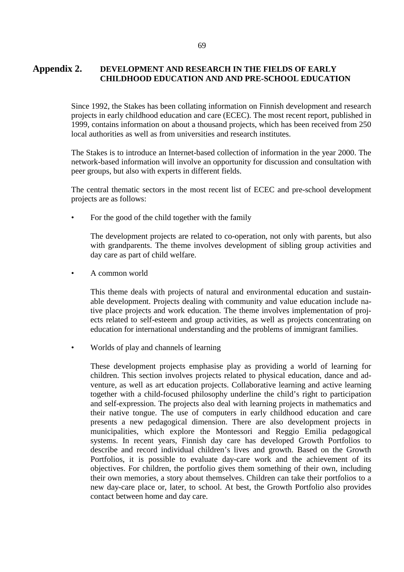## **Appendix 2. DEVELOPMENT AND RESEARCH IN THE FIELDS OF EARLY CHILDHOOD EDUCATION AND AND PRE-SCHOOL EDUCATION**

Since 1992, the Stakes has been collating information on Finnish development and research projects in early childhood education and care (ECEC). The most recent report, published in 1999, contains information on about a thousand projects, which has been received from 250 local authorities as well as from universities and research institutes.

The Stakes is to introduce an Internet-based collection of information in the year 2000. The network-based information will involve an opportunity for discussion and consultation with peer groups, but also with experts in different fields.

The central thematic sectors in the most recent list of ECEC and pre-school development projects are as follows:

For the good of the child together with the family

The development projects are related to co-operation, not only with parents, but also with grandparents. The theme involves development of sibling group activities and day care as part of child welfare.

• A common world

This theme deals with projects of natural and environmental education and sustainable development. Projects dealing with community and value education include native place projects and work education. The theme involves implementation of projects related to self-esteem and group activities, as well as projects concentrating on education for international understanding and the problems of immigrant families.

• Worlds of play and channels of learning

These development projects emphasise play as providing a world of learning for children. This section involves projects related to physical education, dance and adventure, as well as art education projects. Collaborative learning and active learning together with a child-focused philosophy underline the child's right to participation and self-expression. The projects also deal with learning projects in mathematics and their native tongue. The use of computers in early childhood education and care presents a new pedagogical dimension. There are also development projects in municipalities, which explore the Montessori and Reggio Emilia pedagogical systems. In recent years, Finnish day care has developed Growth Portfolios to describe and record individual children's lives and growth. Based on the Growth Portfolios, it is possible to evaluate day-care work and the achievement of its objectives. For children, the portfolio gives them something of their own, including their own memories, a story about themselves. Children can take their portfolios to a new day-care place or, later, to school. At best, the Growth Portfolio also provides contact between home and day care.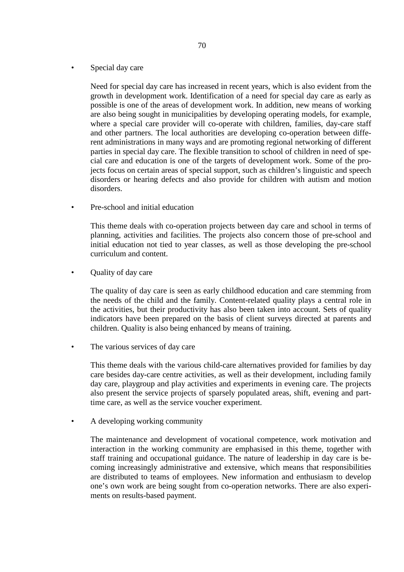Special day care

Need for special day care has increased in recent years, which is also evident from the growth in development work. Identification of a need for special day care as early as possible is one of the areas of development work. In addition, new means of working are also being sought in municipalities by developing operating models, for example, where a special care provider will co-operate with children, families, day-care staff and other partners. The local authorities are developing co-operation between different administrations in many ways and are promoting regional networking of different parties in special day care. The flexible transition to school of children in need of special care and education is one of the targets of development work. Some of the projects focus on certain areas of special support, such as children's linguistic and speech disorders or hearing defects and also provide for children with autism and motion disorders.

• Pre-school and initial education

This theme deals with co-operation projects between day care and school in terms of planning, activities and facilities. The projects also concern those of pre-school and initial education not tied to year classes, as well as those developing the pre-school curriculum and content.

• Ouality of day care

The quality of day care is seen as early childhood education and care stemming from the needs of the child and the family. Content-related quality plays a central role in the activities, but their productivity has also been taken into account. Sets of quality indicators have been prepared on the basis of client surveys directed at parents and children. Quality is also being enhanced by means of training.

• The various services of day care

This theme deals with the various child-care alternatives provided for families by day care besides day-care centre activities, as well as their development, including family day care, playgroup and play activities and experiments in evening care. The projects also present the service projects of sparsely populated areas, shift, evening and parttime care, as well as the service voucher experiment.

• A developing working community

The maintenance and development of vocational competence, work motivation and interaction in the working community are emphasised in this theme, together with staff training and occupational guidance. The nature of leadership in day care is becoming increasingly administrative and extensive, which means that responsibilities are distributed to teams of employees. New information and enthusiasm to develop one's own work are being sought from co-operation networks. There are also experiments on results-based payment.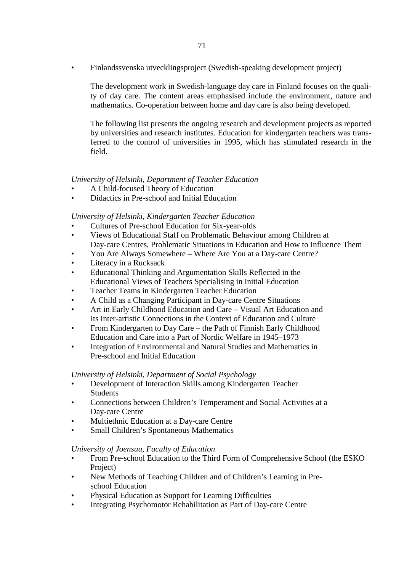• Finlandssvenska utvecklingsproject (Swedish-speaking development project)

The development work in Swedish-language day care in Finland focuses on the quality of day care. The content areas emphasised include the environment, nature and mathematics. Co-operation between home and day care is also being developed.

The following list presents the ongoing research and development projects as reported by universities and research institutes. Education for kindergarten teachers was transferred to the control of universities in 1995, which has stimulated research in the field.

## *University of Helsinki, Department of Teacher Education*

- A Child-focused Theory of Education
- Didactics in Pre-school and Initial Education

### *University of Helsinki, Kindergarten Teacher Education*

- Cultures of Pre-school Education for Six-year-olds
- Views of Educational Staff on Problematic Behaviour among Children at Day-care Centres, Problematic Situations in Education and How to Influence Them
- You Are Always Somewhere Where Are You at a Day-care Centre?
- Literacy in a Rucksack
- Educational Thinking and Argumentation Skills Reflected in the Educational Views of Teachers Specialising in Initial Education
- Teacher Teams in Kindergarten Teacher Education
- A Child as a Changing Participant in Day-care Centre Situations
- Art in Early Childhood Education and Care Visual Art Education and Its Inter-artistic Connections in the Context of Education and Culture
- From Kindergarten to Day Care the Path of Finnish Early Childhood Education and Care into a Part of Nordic Welfare in 1945–1973
- Integration of Environmental and Natural Studies and Mathematics in Pre-school and Initial Education

### *University of Helsinki, Department of Social Psychology*

- Development of Interaction Skills among Kindergarten Teacher Students
- Connections between Children's Temperament and Social Activities at a Day-care Centre
- Multiethnic Education at a Day-care Centre
- Small Children's Spontaneous Mathematics

### *University of Joensuu, Faculty of Education*

- From Pre-school Education to the Third Form of Comprehensive School (the ESKO Project)
- New Methods of Teaching Children and of Children's Learning in Preschool Education
- Physical Education as Support for Learning Difficulties
- Integrating Psychomotor Rehabilitation as Part of Day-care Centre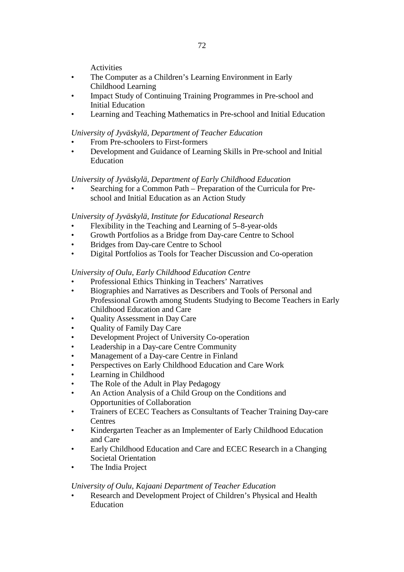72

**Activities** 

- The Computer as a Children's Learning Environment in Early Childhood Learning
- Impact Study of Continuing Training Programmes in Pre-school and Initial Education
- Learning and Teaching Mathematics in Pre-school and Initial Education

# *University of Jyväskylä, Department of Teacher Education*

- From Pre-schoolers to First-formers
- Development and Guidance of Learning Skills in Pre-school and Initial Education

## *University of Jyväskylä, Department of Early Childhood Education*

• Searching for a Common Path – Preparation of the Curricula for Preschool and Initial Education as an Action Study

## *University of Jyväskylä, Institute for Educational Research*

- Flexibility in the Teaching and Learning of 5–8-year-olds
- Growth Portfolios as a Bridge from Day-care Centre to School
- Bridges from Day-care Centre to School
- Digital Portfolios as Tools for Teacher Discussion and Co-operation

## *University of Oulu, Early Childhood Education Centre*

- Professional Ethics Thinking in Teachers' Narratives
- Biographies and Narratives as Describers and Tools of Personal and Professional Growth among Students Studying to Become Teachers in Early Childhood Education and Care
- Quality Assessment in Day Care
- Quality of Family Day Care
- Development Project of University Co-operation
- Leadership in a Day-care Centre Community
- Management of a Day-care Centre in Finland
- Perspectives on Early Childhood Education and Care Work
- Learning in Childhood
- The Role of the Adult in Play Pedagogy
- An Action Analysis of a Child Group on the Conditions and Opportunities of Collaboration
- Trainers of ECEC Teachers as Consultants of Teacher Training Day-care **Centres**
- Kindergarten Teacher as an Implementer of Early Childhood Education and Care
- Early Childhood Education and Care and ECEC Research in a Changing Societal Orientation
- The India Project

### *University of Oulu, Kajaani Department of Teacher Education*

• Research and Development Project of Children's Physical and Health Education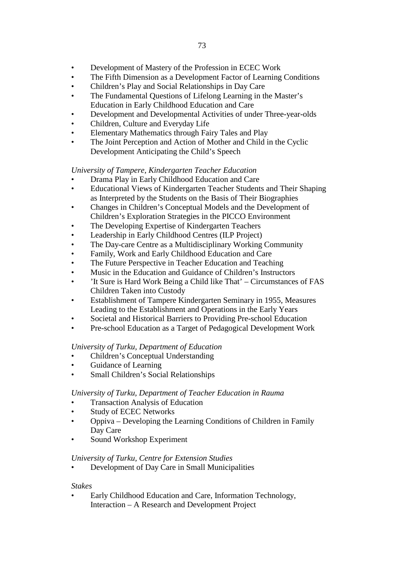- Development of Mastery of the Profession in ECEC Work
- The Fifth Dimension as a Development Factor of Learning Conditions
- Children's Play and Social Relationships in Day Care
- The Fundamental Questions of Lifelong Learning in the Master's Education in Early Childhood Education and Care
- Development and Developmental Activities of under Three-year-olds
- Children, Culture and Everyday Life
- Elementary Mathematics through Fairy Tales and Play
- The Joint Perception and Action of Mother and Child in the Cyclic Development Anticipating the Child's Speech

## *University of Tampere, Kindergarten Teacher Education*

- Drama Play in Early Childhood Education and Care
- Educational Views of Kindergarten Teacher Students and Their Shaping as Interpreted by the Students on the Basis of Their Biographies
- Changes in Children's Conceptual Models and the Development of Children's Exploration Strategies in the PICCO Environment
- The Developing Expertise of Kindergarten Teachers
- Leadership in Early Childhood Centres (ILP Project)
- The Day-care Centre as a Multidisciplinary Working Community
- Family, Work and Early Childhood Education and Care
- The Future Perspective in Teacher Education and Teaching
- Music in the Education and Guidance of Children's Instructors
- 'It Sure is Hard Work Being a Child like That' Circumstances of FAS Children Taken into Custody
- Establishment of Tampere Kindergarten Seminary in 1955, Measures Leading to the Establishment and Operations in the Early Years
- Societal and Historical Barriers to Providing Pre-school Education
- Pre-school Education as a Target of Pedagogical Development Work

### *University of Turku, Department of Education*

- Children's Conceptual Understanding
- Guidance of Learning
- Small Children's Social Relationships

### *University of Turku, Department of Teacher Education in Rauma*

- Transaction Analysis of Education
- Study of ECEC Networks
- Oppiva Developing the Learning Conditions of Children in Family Day Care
- Sound Workshop Experiment

### *University of Turku, Centre for Extension Studies*

• Development of Day Care in Small Municipalities

### *Stakes*

• Early Childhood Education and Care, Information Technology, Interaction – A Research and Development Project